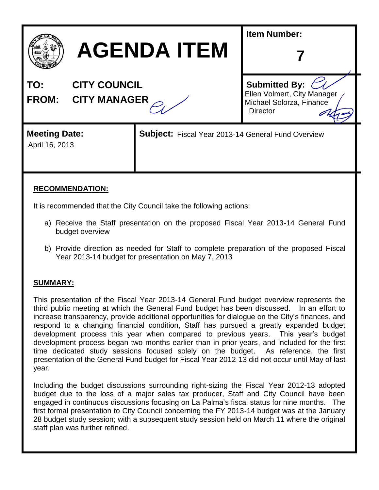

| <b>AGENDA ITEM</b> |  |
|--------------------|--|
|--------------------|--|

**TO: CITY COUNCIL**

**FROM: CITY MANAGER**

| <b>Submitted By:</b>        |  |
|-----------------------------|--|
| Ellen Volmert, City Manager |  |
| Michael Solorza, Finance    |  |
| <b>Director</b>             |  |

**7**

**Item Number:**

# **Meeting Date:**

April 16, 2013

**Subject:** Fiscal Year 2013-14 General Fund Overview

## **RECOMMENDATION:**

It is recommended that the City Council take the following actions:

- a) Receive the Staff presentation on the proposed Fiscal Year 2013-14 General Fund budget overview
- b) Provide direction as needed for Staff to complete preparation of the proposed Fiscal Year 2013-14 budget for presentation on May 7, 2013

## **SUMMARY:**

This presentation of the Fiscal Year 2013-14 General Fund budget overview represents the third public meeting at which the General Fund budget has been discussed. In an effort to increase transparency, provide additional opportunities for dialogue on the City's finances, and respond to a changing financial condition, Staff has pursued a greatly expanded budget development process this year when compared to previous years. This year's budget development process began two months earlier than in prior years, and included for the first time dedicated study sessions focused solely on the budget. As reference, the first presentation of the General Fund budget for Fiscal Year 2012-13 did not occur until May of last year.

Including the budget discussions surrounding right-sizing the Fiscal Year 2012-13 adopted budget due to the loss of a major sales tax producer, Staff and City Council have been engaged in continuous discussions focusing on La Palma's fiscal status for nine months. The first formal presentation to City Council concerning the FY 2013-14 budget was at the January 28 budget study session; with a subsequent study session held on March 11 where the original staff plan was further refined.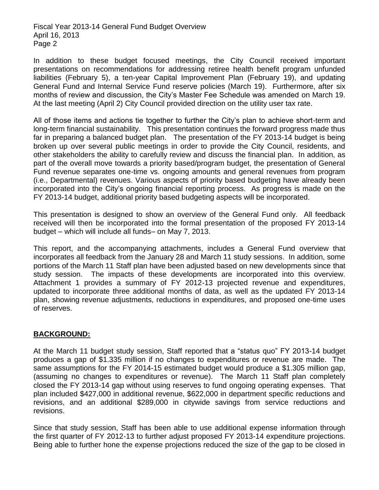In addition to these budget focused meetings, the City Council received important presentations on recommendations for addressing retiree health benefit program unfunded liabilities (February 5), a ten-year Capital Improvement Plan (February 19), and updating General Fund and Internal Service Fund reserve policies (March 19). Furthermore, after six months of review and discussion, the City's Master Fee Schedule was amended on March 19. At the last meeting (April 2) City Council provided direction on the utility user tax rate.

All of those items and actions tie together to further the City's plan to achieve short-term and long-term financial sustainability. This presentation continues the forward progress made thus far in preparing a balanced budget plan. The presentation of the FY 2013-14 budget is being broken up over several public meetings in order to provide the City Council, residents, and other stakeholders the ability to carefully review and discuss the financial plan. In addition, as part of the overall move towards a priority based/program budget, the presentation of General Fund revenue separates one-time vs. ongoing amounts and general revenues from program (i.e., Departmental) revenues. Various aspects of priority based budgeting have already been incorporated into the City's ongoing financial reporting process. As progress is made on the FY 2013-14 budget, additional priority based budgeting aspects will be incorporated.

This presentation is designed to show an overview of the General Fund only. All feedback received will then be incorporated into the formal presentation of the proposed FY 2013-14 budget – which will include all funds– on May 7, 2013.

This report, and the accompanying attachments, includes a General Fund overview that incorporates all feedback from the January 28 and March 11 study sessions. In addition, some portions of the March 11 Staff plan have been adjusted based on new developments since that study session. The impacts of these developments are incorporated into this overview. Attachment 1 provides a summary of FY 2012-13 projected revenue and expenditures, updated to incorporate three additional months of data, as well as the updated FY 2013-14 plan, showing revenue adjustments, reductions in expenditures, and proposed one-time uses of reserves.

## **BACKGROUND:**

At the March 11 budget study session, Staff reported that a "status quo" FY 2013-14 budget produces a gap of \$1.335 million if no changes to expenditures or revenue are made. The same assumptions for the FY 2014-15 estimated budget would produce a \$1.305 million gap, (assuming no changes to expenditures or revenue). The March 11 Staff plan completely closed the FY 2013-14 gap without using reserves to fund ongoing operating expenses. That plan included \$427,000 in additional revenue, \$622,000 in department specific reductions and revisions, and an additional \$289,000 in citywide savings from service reductions and revisions.

Since that study session, Staff has been able to use additional expense information through the first quarter of FY 2012-13 to further adjust proposed FY 2013-14 expenditure projections. Being able to further hone the expense projections reduced the size of the gap to be closed in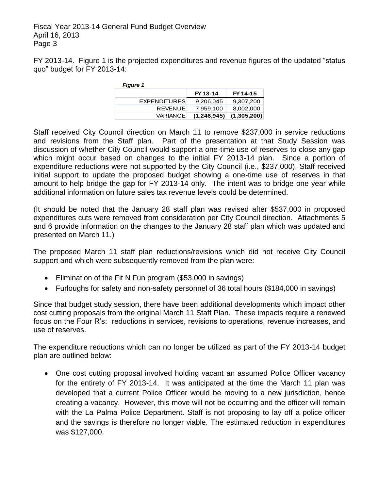FY 2013-14. Figure 1 is the projected expenditures and revenue figures of the updated "status quo" budget for FY 2013-14:

| <b>Figure 1</b>     |             |             |
|---------------------|-------------|-------------|
|                     | FY 13-14    | FY 14-15    |
| <b>EXPENDITURES</b> | 9,206,045   | 9,307,200   |
| <b>REVENUE</b>      | 7.959.100   | 8,002,000   |
| <b>VARIANCE</b>     | (1,246,945) | (1,305,200) |

Staff received City Council direction on March 11 to remove \$237,000 in service reductions and revisions from the Staff plan. Part of the presentation at that Study Session was discussion of whether City Council would support a one-time use of reserves to close any gap which might occur based on changes to the initial FY 2013-14 plan. Since a portion of expenditure reductions were not supported by the City Council (i.e., \$237,000), Staff received initial support to update the proposed budget showing a one-time use of reserves in that amount to help bridge the gap for FY 2013-14 only. The intent was to bridge one year while additional information on future sales tax revenue levels could be determined.

(It should be noted that the January 28 staff plan was revised after \$537,000 in proposed expenditures cuts were removed from consideration per City Council direction. Attachments 5 and 6 provide information on the changes to the January 28 staff plan which was updated and presented on March 11.)

The proposed March 11 staff plan reductions/revisions which did not receive City Council support and which were subsequently removed from the plan were:

- Elimination of the Fit N Fun program (\$53,000 in savings)
- Furloughs for safety and non-safety personnel of 36 total hours (\$184,000 in savings)

Since that budget study session, there have been additional developments which impact other cost cutting proposals from the original March 11 Staff Plan. These impacts require a renewed focus on the Four R's: reductions in services, revisions to operations, revenue increases, and use of reserves.

The expenditure reductions which can no longer be utilized as part of the FY 2013-14 budget plan are outlined below:

• One cost cutting proposal involved holding vacant an assumed Police Officer vacancy for the entirety of FY 2013-14. It was anticipated at the time the March 11 plan was developed that a current Police Officer would be moving to a new jurisdiction, hence creating a vacancy. However, this move will not be occurring and the officer will remain with the La Palma Police Department. Staff is not proposing to lay off a police officer and the savings is therefore no longer viable. The estimated reduction in expenditures was \$127,000.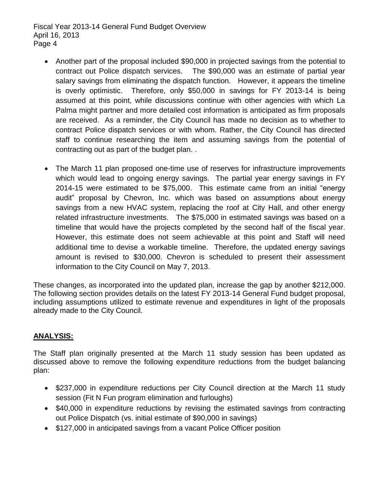- Another part of the proposal included \$90,000 in projected savings from the potential to contract out Police dispatch services. The \$90,000 was an estimate of partial year salary savings from eliminating the dispatch function. However, it appears the timeline is overly optimistic. Therefore, only \$50,000 in savings for FY 2013-14 is being assumed at this point, while discussions continue with other agencies with which La Palma might partner and more detailed cost information is anticipated as firm proposals are received. As a reminder, the City Council has made no decision as to whether to contract Police dispatch services or with whom. Rather, the City Council has directed staff to continue researching the item and assuming savings from the potential of contracting out as part of the budget plan. .
- The March 11 plan proposed one-time use of reserves for infrastructure improvements which would lead to ongoing energy savings. The partial year energy savings in FY 2014-15 were estimated to be \$75,000. This estimate came from an initial "energy audit" proposal by Chevron, Inc. which was based on assumptions about energy savings from a new HVAC system, replacing the roof at City Hall, and other energy related infrastructure investments. The \$75,000 in estimated savings was based on a timeline that would have the projects completed by the second half of the fiscal year. However, this estimate does not seem achievable at this point and Staff will need additional time to devise a workable timeline. Therefore, the updated energy savings amount is revised to \$30,000. Chevron is scheduled to present their assessment information to the City Council on May 7, 2013.

These changes, as incorporated into the updated plan, increase the gap by another \$212,000. The following section provides details on the latest FY 2013-14 General Fund budget proposal, including assumptions utilized to estimate revenue and expenditures in light of the proposals already made to the City Council.

## **ANALYSIS:**

The Staff plan originally presented at the March 11 study session has been updated as discussed above to remove the following expenditure reductions from the budget balancing plan:

- \$237,000 in expenditure reductions per City Council direction at the March 11 study session (Fit N Fun program elimination and furloughs)
- \$40,000 in expenditure reductions by revising the estimated savings from contracting out Police Dispatch (vs. initial estimate of \$90,000 in savings)
- \$127,000 in anticipated savings from a vacant Police Officer position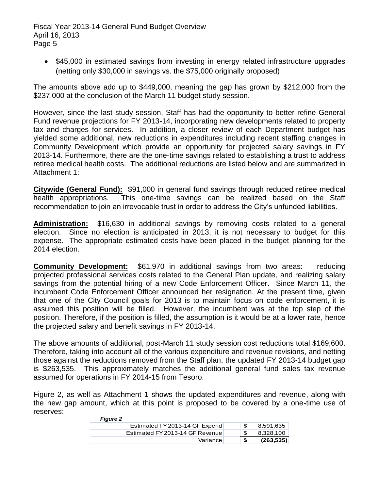• \$45,000 in estimated savings from investing in energy related infrastructure upgrades (netting only \$30,000 in savings vs. the \$75,000 originally proposed)

The amounts above add up to \$449,000, meaning the gap has grown by \$212,000 from the \$237,000 at the conclusion of the March 11 budget study session.

However, since the last study session, Staff has had the opportunity to better refine General Fund revenue projections for FY 2013-14, incorporating new developments related to property tax and charges for services. In addition, a closer review of each Department budget has yielded some additional, new reductions in expenditures including recent staffing changes in Community Development which provide an opportunity for projected salary savings in FY 2013-14. Furthermore, there are the one-time savings related to establishing a trust to address retiree medical health costs. The additional reductions are listed below and are summarized in Attachment 1:

**Citywide (General Fund):** \$91,000 in general fund savings through reduced retiree medical health appropriations. This one-time savings can be realized based on the Staff recommendation to join an irrevocable trust in order to address the City's unfunded liabilities.

**Administration:** \$16,630 in additional savings by removing costs related to a general election. Since no election is anticipated in 2013, it is not necessary to budget for this expense. The appropriate estimated costs have been placed in the budget planning for the 2014 election.

**Community Development:** \$61,970 in additional savings from two areas: reducing projected professional services costs related to the General Plan update, and realizing salary savings from the potential hiring of a new Code Enforcement Officer. Since March 11, the incumbent Code Enforcement Officer announced her resignation. At the present time, given that one of the City Council goals for 2013 is to maintain focus on code enforcement, it is assumed this position will be filled. However, the incumbent was at the top step of the position. Therefore, if the position is filled, the assumption is it would be at a lower rate, hence the projected salary and benefit savings in FY 2013-14.

The above amounts of additional, post-March 11 study session cost reductions total \$169,600. Therefore, taking into account all of the various expenditure and revenue revisions, and netting those against the reductions removed from the Staff plan, the updated FY 2013-14 budget gap is \$263,535. This approximately matches the additional general fund sales tax revenue assumed for operations in FY 2014-15 from Tesoro.

Figure 2, as well as Attachment 1 shows the updated expenditures and revenue, along with the new gap amount, which at this point is proposed to be covered by a one-time use of reserves: *Figure 2*

|          | Variance                        | £. | (263, 535) |
|----------|---------------------------------|----|------------|
|          | Estimated FY 2013-14 GF Revenue |    | 8,328,100  |
|          | Estimated FY 2013-14 GF Expend  |    | 8,591,635  |
| rigure z |                                 |    |            |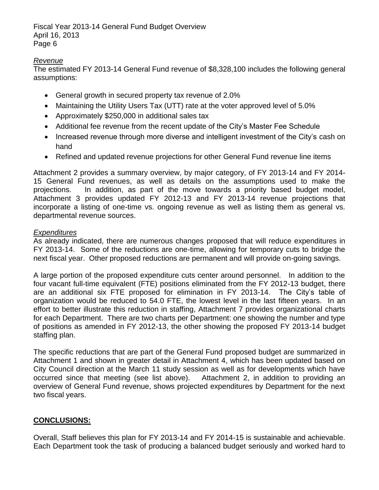## *Revenue*

The estimated FY 2013-14 General Fund revenue of \$8,328,100 includes the following general assumptions:

- General growth in secured property tax revenue of 2.0%
- Maintaining the Utility Users Tax (UTT) rate at the voter approved level of 5.0%
- Approximately \$250,000 in additional sales tax
- Additional fee revenue from the recent update of the City's Master Fee Schedule
- Increased revenue through more diverse and intelligent investment of the City's cash on hand
- Refined and updated revenue projections for other General Fund revenue line items

Attachment 2 provides a summary overview, by major category, of FY 2013-14 and FY 2014- 15 General Fund revenues, as well as details on the assumptions used to make the projections. In addition, as part of the move towards a priority based budget model, Attachment 3 provides updated FY 2012-13 and FY 2013-14 revenue projections that incorporate a listing of one-time vs. ongoing revenue as well as listing them as general vs. departmental revenue sources.

## *Expenditures*

As already indicated, there are numerous changes proposed that will reduce expenditures in FY 2013-14. Some of the reductions are one-time, allowing for temporary cuts to bridge the next fiscal year. Other proposed reductions are permanent and will provide on-going savings.

A large portion of the proposed expenditure cuts center around personnel. In addition to the four vacant full-time equivalent (FTE) positions eliminated from the FY 2012-13 budget, there are an additional six FTE proposed for elimination in FY 2013-14. The City's table of organization would be reduced to 54.0 FTE, the lowest level in the last fifteen years. In an effort to better illustrate this reduction in staffing, Attachment 7 provides organizational charts for each Department. There are two charts per Department: one showing the number and type of positions as amended in FY 2012-13, the other showing the proposed FY 2013-14 budget staffing plan.

The specific reductions that are part of the General Fund proposed budget are summarized in Attachment 1 and shown in greater detail in Attachment 4, which has been updated based on City Council direction at the March 11 study session as well as for developments which have occurred since that meeting (see list above). Attachment 2, in addition to providing an overview of General Fund revenue, shows projected expenditures by Department for the next two fiscal years.

## **CONCLUSIONS:**

Overall, Staff believes this plan for FY 2013-14 and FY 2014-15 is sustainable and achievable. Each Department took the task of producing a balanced budget seriously and worked hard to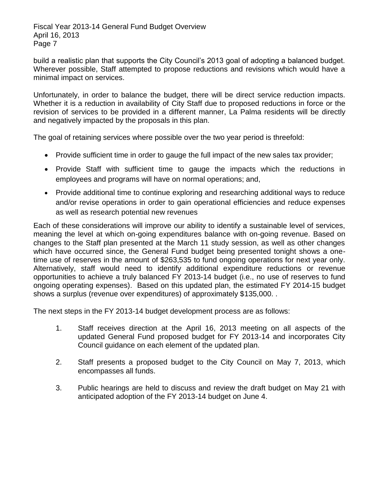build a realistic plan that supports the City Council's 2013 goal of adopting a balanced budget. Wherever possible, Staff attempted to propose reductions and revisions which would have a minimal impact on services.

Unfortunately, in order to balance the budget, there will be direct service reduction impacts. Whether it is a reduction in availability of City Staff due to proposed reductions in force or the revision of services to be provided in a different manner, La Palma residents will be directly and negatively impacted by the proposals in this plan.

The goal of retaining services where possible over the two year period is threefold:

- Provide sufficient time in order to gauge the full impact of the new sales tax provider;
- Provide Staff with sufficient time to gauge the impacts which the reductions in employees and programs will have on normal operations; and,
- Provide additional time to continue exploring and researching additional ways to reduce and/or revise operations in order to gain operational efficiencies and reduce expenses as well as research potential new revenues

Each of these considerations will improve our ability to identify a sustainable level of services, meaning the level at which on-going expenditures balance with on-going revenue. Based on changes to the Staff plan presented at the March 11 study session, as well as other changes which have occurred since, the General Fund budget being presented tonight shows a onetime use of reserves in the amount of \$263,535 to fund ongoing operations for next year only. Alternatively, staff would need to identify additional expenditure reductions or revenue opportunities to achieve a truly balanced FY 2013-14 budget (i.e., no use of reserves to fund ongoing operating expenses). Based on this updated plan, the estimated FY 2014-15 budget shows a surplus (revenue over expenditures) of approximately \$135,000. .

The next steps in the FY 2013-14 budget development process are as follows:

- 1. Staff receives direction at the April 16, 2013 meeting on all aspects of the updated General Fund proposed budget for FY 2013-14 and incorporates City Council guidance on each element of the updated plan.
- 2. Staff presents a proposed budget to the City Council on May 7, 2013, which encompasses all funds.
- 3. Public hearings are held to discuss and review the draft budget on May 21 with anticipated adoption of the FY 2013-14 budget on June 4.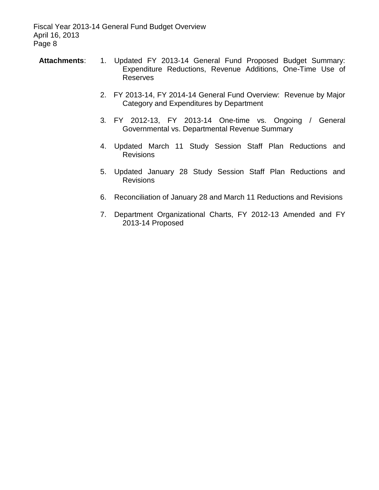- **Attachments**: 1. Updated FY 2013-14 General Fund Proposed Budget Summary: Expenditure Reductions, Revenue Additions, One-Time Use of Reserves
	- 2. FY 2013-14, FY 2014-14 General Fund Overview: Revenue by Major Category and Expenditures by Department
	- 3*.* FY 2012-13, FY 2013-14 One-time vs. Ongoing / General Governmental vs. Departmental Revenue Summary
	- 4. Updated March 11 Study Session Staff Plan Reductions and Revisions
	- 5. Updated January 28 Study Session Staff Plan Reductions and **Revisions**
	- 6. Reconciliation of January 28 and March 11 Reductions and Revisions
	- 7. Department Organizational Charts, FY 2012-13 Amended and FY 2013-14 Proposed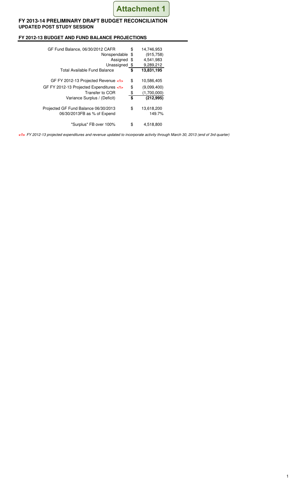

## **FY 2013-14 PRELIMINARY DRAFT BUDGET RECONCILIATION UPDATED POST STUDY SESSION**

## **FY 2012-13 BUDGET AND FUND BALANCE PROJECTIONS**

| GF Fund Balance, 06/30/2012 CAFR<br>Nonspendable<br>Assigned<br>Unassigned | \$<br>\$<br>\$<br>-\$ | 14,746,953<br>(915, 758)<br>4,541,983<br>9,289,212 |
|----------------------------------------------------------------------------|-----------------------|----------------------------------------------------|
| Total Available Fund Balance                                               | \$                    | 13,831,195                                         |
| GF FY 2012-13 Projected Revenue <1>                                        | \$                    | 10,586,405                                         |
| GF FY 2012-13 Projected Expenditures <1>                                   | \$                    | (9.099, 400)                                       |
| Transfer to COR                                                            | \$                    | (1,700,000)                                        |
| Variance Surplus / (Deficit)                                               | \$                    | (212, 995)                                         |
| Projected GF Fund Balance 06/30/2013<br>06/30/2013FB as % of Expend        | \$                    | 13,618,200<br>149.7%                               |
| "Surplus" FB over 100%                                                     | \$                    | 4,518,800                                          |

**<1>** FY 2012-13 projected expenditures and revenue updated to incorporate activity through March 30, 2013 (end of 3rd quarter)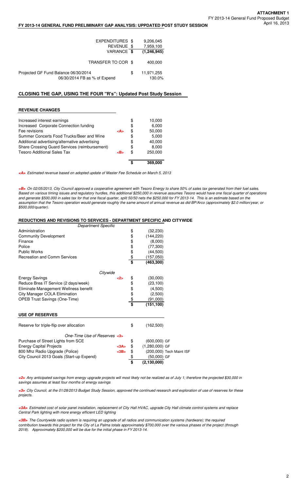## April 16, 2013 **FY 2013-14 GENERAL FUND PRELIMINARY GAP ANALYSIS: UPPDATED POST STUDY SESSION**

| EXPENDITURES \$<br>REVENUE \$                                        | 9,206,045<br>7,959,100     |
|----------------------------------------------------------------------|----------------------------|
| VARIANCE \$                                                          | (1, 246, 945)              |
| TRANSFER TO COR \$                                                   | 400,000                    |
| Projected GF Fund Balance 06/30/2014<br>06/30/2014 FB as % of Expend | \$<br>11,971,255<br>130.0% |

## **CLOSING THE GAP, USING THE FOUR "R's": Updated Post Study Session**

## **REVENUE CHANGES**

| Increased interest earnings                    | <a></a> | \$ | 10,000  |
|------------------------------------------------|---------|----|---------|
| Increased Corporate Connection funding         |         | \$ | 6,000   |
| Fee revisions                                  |         | ß. | 50,000  |
| Summer Concerts Food Trucks/Beer and Wine      |         | \$ | 5,000   |
| Additional advertising/alternative advertising |         | \$ | 40,000  |
| Share Crossing Guard Services (reimbursement)  |         | \$ | 8,000   |
| <b>Tesoro Additional Sales Tax</b>             | <b></b> | S  | 250,000 |
|                                                |         | \$ | 369,000 |

**<A>** Estimated revenue based on adopted update of Master Fee Schedule on March 5, 2013

**<B>** On 02/05/2013, City Council approved a cooperative agreement with Tesoro Energy to share 50% of sales tax generated from their fuel sales. Based on various timing issues and regulatory hurdles, this additional \$250,000 in revenue assumes Tesoro would have one fiscal quarter of operations and generate \$500,000 in sales tax for that one fiscal quarter, split 50/50 nets the \$250,000 for FY 2013-14. This is an estimate based on the assumption that the Tesoro operation would generate roughly the same amount of annual revenue as did BP/Arco (approximately \$2.0 million/year, or \$500,000/quarter).

## **REDUCTIONS AND REVISIONS TO SERVICES - DEPARTMENT SPECIFIC AND CITYWIDE**

| Department Specific                                                |          |                    |
|--------------------------------------------------------------------|----------|--------------------|
| Administration                                                     |          | \$<br>(32, 230)    |
| <b>Community Development</b>                                       |          | \$<br>(144, 220)   |
| Finance                                                            |          | \$<br>(8,000)      |
| Police                                                             |          | \$<br>(77, 300)    |
| <b>Public Works</b>                                                |          | \$<br>(44,500)     |
| <b>Recreation and Comm Services</b>                                |          | \$<br>(157,050)    |
|                                                                    |          | \$<br>(463, 300)   |
|                                                                    | Citywide |                    |
| <b>Energy Savings</b>                                              | <2>      | \$<br>(30,000)     |
| Reduce Brea IT Service (2 days/week)                               |          | \$<br>(23, 100)    |
| Eliminate Management Wellness benefit                              |          | \$<br>(4,500)      |
| City Manager COLA Elimination                                      |          | \$<br>(2,500)      |
| <b>OPEB Trust Savings (One-Time)</b>                               |          | \$<br>(91,000)     |
|                                                                    |          | \$<br>(151, 100)   |
| <b>USE OF RESERVES</b>                                             |          |                    |
| Reserve for triple-flip over allocation                            |          | \$<br>(162,500)    |
| One-Time Use of Reserves <3><br>Purchase of Street Lights from SCE |          | \$<br>(600,000) GF |
|                                                                    |          |                    |

800 Mhz Radio Upgrade (Police) **(200,000)** Tech City Council 2013 Goals (Start-up Expend) **68** (50,000) GF **\$ (2,130,000)**

Energy Capital Projects<br>
800 Mhz Radio Upgrade (Police)<br>
800 Mhz Radio Upgrade (Police)<br> **Example 2014** Capital (200,000) Tech Maint ISF

City Council 2013 Goals (Start-up Expend)  $\frac{\$}{\$}$ 

**<2>** Any anticipated savings from energy upgrade projects will most likely not be realized as of July 1; therefore the projected \$30,000 in savings assumes at least four months of energy savings

**<3>** City Council, at the 01/28/2013 Budget Study Session, approved the continued research and exploration of use of reserves for these projects.

**<3A>** Estimated cost of solar panel installation, replacement of City Hall HVAC, upgrade City Hall climate control systems and replace Central Park lighting with more energy efficient LED lighting

**<3B>** The Countywide radio system is requiring an upgrade of all radios and communication systems (hardware); the required contribution towards this project for the City of La Palma totals approximately \$700,000 over the various phases of the project (through 2018). Approximately \$200,000 will be due for the initial phase in FY 2013-14.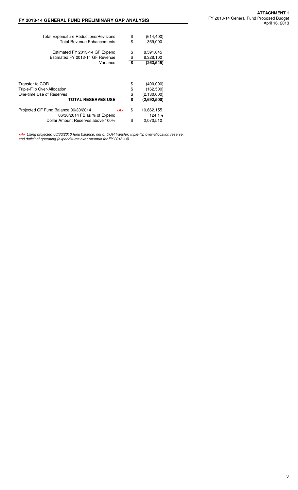| <b>Total Expenditure Reductions/Revisions</b> | \$  | (614, 400)    |
|-----------------------------------------------|-----|---------------|
| <b>Total Revenue Enhancements</b>             | \$  | 369,000       |
| Estimated FY 2013-14 GF Expend                | \$  | 8,591,645     |
| Estimated FY 2013-14 GF Revenue               | \$  | 8,328,100     |
| Variance                                      | \$  | (263, 545)    |
| Transfer to COR                               | \$  | (400,000)     |
| Triple-Flip Over-Allocation                   | \$  | (162, 500)    |
| One-time Use of Reserves                      | \$  | (2, 130, 000) |
| <b>TOTAL RESERVES USE</b>                     | \$  | (2,692,500)   |
| Projected GF Fund Balance 06/30/2014          | \$  | 10,662,155    |
| 06/30/2014 FB as % of Expend                  | <4> | 124.1%        |
| Dollar Amount Reserves above 100%             | \$  | 2,070,510     |

**<4>** Using projected 06/30/2013 fund balance, net of COR transfer, triple-flip over-allocation reserve, and deficit of operating (expenditures over revenue for FY 2013-14)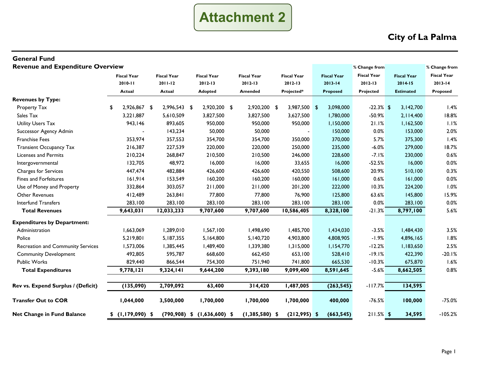

| <b>General Fund</b>                     |                    |                    |                    |                    |                                 |                    |                    |                    |                    |               |                    |                    |               |
|-----------------------------------------|--------------------|--------------------|--------------------|--------------------|---------------------------------|--------------------|--------------------|--------------------|--------------------|---------------|--------------------|--------------------|---------------|
| <b>Revenue and Expenditure Overview</b> |                    |                    |                    |                    |                                 |                    |                    |                    |                    | % Change from |                    |                    | % Change from |
|                                         | <b>Fiscal Year</b> |                    | <b>Fiscal Year</b> | <b>Fiscal Year</b> |                                 | <b>Fiscal Year</b> | <b>Fiscal Year</b> | <b>Fiscal Year</b> | <b>Fiscal Year</b> |               | <b>Fiscal Year</b> | <b>Fiscal Year</b> |               |
|                                         |                    | $2010 - 11$        |                    | $2011 - 12$        | 2012-13                         | $2012 - 13$        |                    | $2012 - 13$        | $2013 - 14$        | $2012 - 13$   |                    | $2014 - 15$        | $2013 - 14$   |
|                                         |                    | <b>Actual</b>      |                    | <b>Actual</b>      | <b>Adopted</b>                  |                    | Amended            | Projected*         | Proposed           | Projected     |                    | <b>Estimated</b>   | Proposed      |
| <b>Revenues by Type:</b>                |                    |                    |                    |                    |                                 |                    |                    |                    |                    |               |                    |                    |               |
| Property Tax                            | \$                 | 2,926,867          | \$                 | 2,996,543 \$       | 2,920,200 \$                    |                    | 2,920,200 \$       | 3,987,500 \$       | 3,098,000          | $-22.3\%$ \$  |                    | 3,142,700          | 1.4%          |
| Sales Tax                               |                    | 3,221,887          |                    | 5,610,509          | 3,827,500                       |                    | 3,827,500          | 3,627,500          | 1,780,000          | $-50.9%$      |                    | 2,114,400          | 18.8%         |
| Utility Users Tax                       |                    | 943,146            |                    | 893,605            | 950,000                         |                    | 950,000            | 950,000            | 1,150,000          | 21.1%         |                    | 1,162,500          | 1.1%          |
| Successor Agency Admin                  |                    |                    |                    | 143,234            | 50,000                          |                    | 50,000             |                    | 150,000            | 0.0%          |                    | 153,000            | 2.0%          |
| <b>Franchise Fees</b>                   |                    | 353,974            |                    | 357,553            | 354,700                         |                    | 354,700            | 350,000            | 370,000            | 5.7%          |                    | 375,300            | 1.4%          |
| <b>Transient Occupancy Tax</b>          |                    | 216,387            |                    | 227,539            | 220,000                         |                    | 220,000            | 250,000            | 235,000            | $-6.0%$       |                    | 279,000            | 18.7%         |
| <b>Licenses and Permits</b>             |                    | 210,224            |                    | 268,847            | 210,500                         |                    | 210,500            | 246,000            | 228,600            | $-7.1%$       |                    | 230,000            | 0.6%          |
| Intergovernmental                       |                    | 132,705            |                    | 48,972             | 16,000                          |                    | 16,000             | 33,655             | 16,000             | $-52.5%$      |                    | 16,000             | 0.0%          |
| Charges for Services                    |                    | 447,474            |                    | 482,884            | 426,600                         |                    | 426,600            | 420,550            | 508,600            | 20.9%         |                    | 510,100            | 0.3%          |
| Fines and Forfeitures                   |                    | 161,914            |                    | 153,549            | 160,200                         |                    | 160,200            | 160,000            | 161,000            | 0.6%          |                    | 161,000            | 0.0%          |
| Use of Money and Property               |                    | 332,864            |                    | 303,057            | 211,000                         |                    | 211,000            | 201,200            | 222,000            | 10.3%         |                    | 224,200            | 1.0%          |
| Other Revenues                          |                    | 412,489            |                    | 263,841            | 77,800                          |                    | 77,800             | 76,900             | 125,800            | 63.6%         |                    | 145,800            | 15.9%         |
| <b>Interfund Transfers</b>              |                    | 283,100            |                    | 283,100            | 283,100                         |                    | 283,100            | 283,100            | 283,100            | 0.0%          |                    | 283,100            | 0.0%          |
| <b>Total Revenues</b>                   |                    | 9,643,031          |                    | 12,033,233         | 9,707,600                       |                    | 9,707,600          | 10,586,405         | 8,328,100          | $-21.3%$      |                    | 8,797,100          | 5.6%          |
| <b>Expenditures by Department:</b>      |                    |                    |                    |                    |                                 |                    |                    |                    |                    |               |                    |                    |               |
| Administration                          |                    | 1,663,069          |                    | 1,289,010          | 1,567,100                       |                    | 1,498,690          | 1,485,700          | 1,434,030          | $-3.5%$       |                    | 1,484,430          | 3.5%          |
| Police                                  |                    | 5,219,801          |                    | 5,187,355          | 5,164,800                       |                    | 5,140,720          | 4,903,800          | 4,808,905          | $-1.9%$       |                    | 4,896,165          | 1.8%          |
| Recreation and Community Services       |                    | 1,573,006          |                    | 1,385,445          | 1,489,400                       |                    | 1,339,380          | 1,315,000          | 1,154,770          | $-12.2%$      |                    | 1,183,650          | 2.5%          |
| <b>Community Development</b>            |                    | 492,805            |                    | 595,787            | 668,600                         |                    | 662,450            | 653,100            | 528,410            | $-19.1%$      |                    | 422,390            | $-20.1%$      |
| <b>Public Works</b>                     |                    | 829,440            |                    | 866,544            | 754,300                         |                    | 751,940            | 741,800            | 665,530            | $-10.3%$      |                    | 675,870            | 1.6%          |
| <b>Total Expenditures</b>               |                    | 9,778,121          |                    | 9,324,141          | 9,644,200                       |                    | 9,393,180          | 9,099,400          | 8,591,645          | $-5.6%$       |                    | 8,662,505          | 0.8%          |
| Rev vs. Expend Surplus / (Deficit)      |                    | (135,090)          |                    | 2,709,092          | 63,400                          |                    | 314,420            | 1,487,005          | (263, 545)         | $-117.7%$     |                    | 134,595            |               |
| <b>Transfer Out to COR</b>              |                    | 1,044,000          |                    | 3,500,000          | 1,700,000                       |                    | 1,700,000          | 1,700,000          | 400,000            | $-76.5%$      |                    | 100,000            | $-75.0%$      |
| <b>Net Change in Fund Balance</b>       |                    | $$$ (1,179,090) \$ |                    |                    | $(790,908)$ \$ $(1,636,600)$ \$ |                    | $(1,385,580)$ \$   | $(212,995)$ \$     | (663, 545)         | $211.5%$ \$   |                    | 34,595             | $-105.2%$     |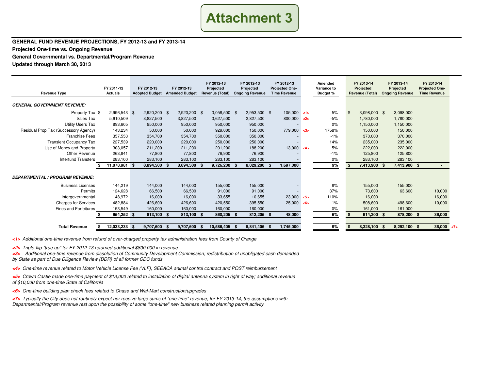# **Attachment 3**

**GENERAL FUND REVENUE PROJECTIONS, FY 2012-13 and FY 2013-14**

**Projected One-time vs. Ongoing Revenue**

**General Governmental vs. Departmental/Program Revenue**

**Updated through March 30, 2013**

| <b>Revenue Type</b>                    | FY 2011-12<br><b>Actuals</b> | FY 2012-13<br><b>Adopted Budget</b> | FY 2012-13<br><b>Amended Budget</b> | FY 2012-13<br>Projected<br>Revenue (Total) |    | FY 2012-13<br>Projected<br><b>Ongoing Revenue</b> |      | FY 2012-13<br><b>Projected One-</b><br><b>Time Revenue</b> |           | Amended<br>Variance to<br><b>Budget %</b> |    | FY 2013-14<br>Projected<br><b>Revenue (Total)</b> |     | FY 2013-14<br>Projected<br><b>Ongoing Revenue</b> | FY 2013-14<br><b>Projected One-</b><br><b>Time Revenue</b> |            |
|----------------------------------------|------------------------------|-------------------------------------|-------------------------------------|--------------------------------------------|----|---------------------------------------------------|------|------------------------------------------------------------|-----------|-------------------------------------------|----|---------------------------------------------------|-----|---------------------------------------------------|------------------------------------------------------------|------------|
| <b>GENERAL GOVERNMENT REVENUE:</b>     |                              |                                     |                                     |                                            |    |                                                   |      |                                                            |           |                                           |    |                                                   |     |                                                   |                                                            |            |
| Property Tax \$                        | 2,996,543 \$                 | 2,920,200 \$                        | 2,920,200 \$                        | 3,058,500 \$                               |    | 2,953,500 \$                                      |      | $105,000$ <1>                                              |           | 5%                                        | Ŝ. | 3,098,000 \$                                      |     | 3,098,000                                         |                                                            |            |
| Sales Tax                              | 5,610,509                    | 3,827,500                           | 3,827,500                           | 3,627,500                                  |    | 2,827,500                                         |      | 800,000                                                    | $\sim$ 2> | $-5%$                                     |    | 1,780,000                                         |     | 1,780,000                                         |                                                            |            |
| <b>Utility Users Tax</b>               | 893,605                      | 950,000                             | 950,000                             | 950,000                                    |    | 950,000                                           |      |                                                            |           | $0\%$                                     |    | 1,150,000                                         |     | 1,150,000                                         |                                                            |            |
| Residual Prop Tax (Successory Agency)  | 143,234                      | 50,000                              | 50.000                              | 929,000                                    |    | 150,000                                           |      | 779,000 <                                                  |           | 1758%                                     |    | 150,000                                           |     | 150,000                                           |                                                            |            |
| <b>Franchise Fees</b>                  | 357,553                      | 354,700                             | 354,700                             | 350,000                                    |    | 350,000                                           |      |                                                            |           | $-1%$                                     |    | 370,000                                           |     | 370,000                                           |                                                            |            |
| <b>Transient Occupancy Tax</b>         | 227,539                      | 220,000                             | 220,000                             | 250,000                                    |    | 250,000                                           |      |                                                            |           | 14%                                       |    | 235,000                                           |     | 235,000                                           |                                                            |            |
| Use of Money and Property              | 303,057                      | 211,200                             | 211.200                             | 201,200                                    |    | 188,200                                           |      | 13,000                                                     | < 4>      | $-5%$                                     |    | 222,000                                           |     | 222,000                                           |                                                            |            |
| Other Revenue                          | 263,841                      | 77,800                              | 77,800                              | 76,900                                     |    | 76,900                                            |      |                                                            |           | $-1%$                                     |    | 125,800                                           |     | 125,800                                           |                                                            |            |
| <b>Interfund Transfers</b>             | 283,100                      | 283,100                             | 283,100                             | 283,100                                    |    | 283,100                                           |      |                                                            |           | 0%                                        |    | 283,100                                           |     | 283,100                                           |                                                            |            |
|                                        | 11,078,981 \$                | 8,894,500                           | 8,894,500                           | 9,726,200                                  |    | 8,029,200                                         | - 9  | 1,697,000                                                  |           | 9%                                        |    | 7,413,900 \$                                      |     | 7,413,900 \$                                      |                                                            |            |
| <b>DEPARTMENTAL / PROGRAM REVENUE:</b> |                              |                                     |                                     |                                            |    |                                                   |      |                                                            |           |                                           |    |                                                   |     |                                                   |                                                            |            |
| <b>Business Licenses</b>               | 144,219                      | 144,000                             | 144,000                             | 155,000                                    |    | 155,000                                           |      |                                                            |           | 8%                                        |    | 155,000                                           |     | 155,000                                           |                                                            |            |
| Permits                                | 124,628                      | 66,500                              | 66,500                              | 91,000                                     |    | 91,000                                            |      |                                                            |           | 37%                                       |    | 73,600                                            |     | 63,600                                            | 10,000                                                     |            |
| Intergovernmental                      | 48,972                       | 16,000                              | 16,000                              | 33,655                                     |    | 10,655                                            |      | $23,000 <$ $<$ 5>                                          |           | 110%                                      |    | 16,000                                            |     | $\overline{\phantom{a}}$                          | 16,000                                                     |            |
| <b>Charges for Services</b>            | 482,884                      | 426,600                             | 426,600                             | 420,550                                    |    | 395,550                                           |      | 25,000                                                     | $\leq 6$  | $-1%$                                     |    | 508,600                                           |     | 498,600                                           | 10,000                                                     |            |
| Fines and Forfeitures                  | 153,549                      | 160,000                             | 160,000                             | 160,000                                    |    | 160,000                                           |      | $\sim$                                                     |           | $0\%$                                     |    | 161,000                                           |     | 161,000                                           |                                                            |            |
|                                        | $954,252$ \$                 | 813,100 \$                          | 813,100 \$                          | 860,205 \$                                 |    | 812,205 \$                                        |      | 48,000                                                     |           | 6%                                        |    | 914,200 \$                                        |     | 878,200 \$                                        | 36,000                                                     |            |
|                                        |                              |                                     |                                     |                                            |    |                                                   |      |                                                            |           |                                           |    |                                                   |     |                                                   |                                                            |            |
| <b>Total Revenue</b>                   | 12,033,233 \$                | 9,707,600                           | 9,707,600                           | 10,586,405                                 | -9 | 8,841,405                                         | - \$ | 1,745,000                                                  |           | 9%                                        |    | 8,328,100                                         | -\$ | 8,292,100                                         | -\$                                                        | 36,000 < 7 |

**<1>** Additional one-time revenue from refund of over-charged property tax administration fees from County of Orange

**<2>** Triple-flip "true up" for FY 2012-13 returned additional \$800,000 in revenue

**<3>** Additional one-time revenue from dissolution of Community Development Commission; redistribution of unobligated cash demanded

by State as part of Due Diligence Review (DDR) of all former CDC funds

**<4>** One-time revenue related to Motor Vehicle License Fee (VLF), SEEACA animal control contract and POST reimbursement

**<5>** Crown Castle made one-time payment of \$13,000 related to installation of digital antenna system in right of way; additional revenue of \$10,000 from one-time State of California

**<6>** One-time building plan check fees related to Chase and Wal-Mart construction/upgrades

**<7>** Typically the City does not routinely expect nor receive large sums of "one-time" revenue; for FY 2013-14, the assumptions with Departmental/Program revenue rest upon the possibility of some "one-time" new business related planning permit activity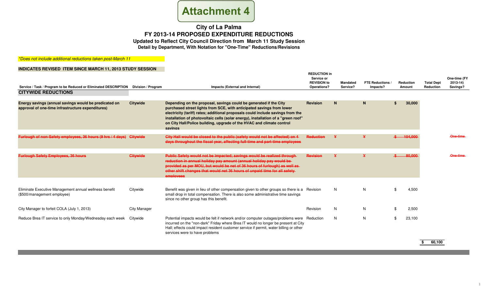

### \*Does not include additional reductions taken post-March 11

### **INDICATES REVISED ITEM SINCE MARCH 11, 2013 STUDY SESSION**

| Service / Task / Program to be Reduced or Eliminated DESCRIPTION<br><b>CITYWIDE REDUCTIONS</b>             | Division / Program  | Impacts (External and Internal)                                                                                                                                                                                                                                                                                                                                                                        | <b>REDUCTION in</b><br>Service or<br><b>REVISION to</b><br>Operations? | <b>Mandated</b><br>Service? | <b>FTE Reductions</b><br>Impacts? | Reduction<br>Amount |         | <b>Total Dept</b><br>Reduction | One-time (FY<br>$2013 - 14$<br>Savings? |
|------------------------------------------------------------------------------------------------------------|---------------------|--------------------------------------------------------------------------------------------------------------------------------------------------------------------------------------------------------------------------------------------------------------------------------------------------------------------------------------------------------------------------------------------------------|------------------------------------------------------------------------|-----------------------------|-----------------------------------|---------------------|---------|--------------------------------|-----------------------------------------|
| Energy savings (annual savings would be predicated on<br>approval of one-time infrastructure expenditures) | <b>Citywide</b>     | Depending on the proposal, savings could be generated if the City<br>purchased street lights from SCE, with anticipated savings from lower<br>electricity (tariff) rates; additional proposals could include savings from the<br>installation of photovoltaic cells (solar energy), installation of a "green roof"<br>on City Hall/Police building, upgrade of the HVAC and climate control<br>savings | Revision                                                               | N                           | N                                 |                     | 30,000  |                                |                                         |
| Furlough of non-Safety employees, 36 hours (9 hrs / 4 days)                                                | Citywide            | City Hall would be closed to the public (safety would not be affected) on 4<br>days throughout the fiscal year, affecting full-time and part-time employees                                                                                                                                                                                                                                            | <b>Reduction</b>                                                       |                             | ¥                                 |                     | 104.000 |                                | One-time                                |
| <b>Furlough Safety Employees, 36 hours</b>                                                                 | Citywide            | Public Safety would not be impacted; savings would be realized through-<br>reduction in annual holiday pay amount (annual holiday pay would be-<br>provided as per MOU, but would be net of 36 hours of furlough) as well as-<br>other shift changes that would net 36 hours of unpaid time for all safety-<br>employees                                                                               | <b>Revision</b>                                                        |                             |                                   |                     | 80.000  |                                | One-time                                |
| Eliminate Executive Management annual wellness benefit<br>(\$500/management employee)                      | Citywide            | Benefit was given in lieu of other compensation given to other groups so there is a Revision<br>small drop in total compensation. There is also some administrative time savings<br>since no other group has this benefit.                                                                                                                                                                             |                                                                        | N                           | N                                 | \$                  | 4,500   |                                |                                         |
| City Manager to forfeit COLA (July 1, 2013)                                                                | <b>City Manager</b> |                                                                                                                                                                                                                                                                                                                                                                                                        | Revision                                                               | N                           | N                                 | -\$                 | 2,500   |                                |                                         |
| Reduce Brea IT service to only Monday/Wednesday each week                                                  | Citywide            | Potential impacts would be felt if network and/or computer outages/problems were Reduction<br>incurred on the "non-dark" Friday where Brea IT would no longer be present at City<br>Hall; effects could impact resident customer service if permit, water billing or other<br>services were to have problems                                                                                           |                                                                        | N                           | N                                 | \$                  | 23,100  |                                |                                         |

**\$ 60,100**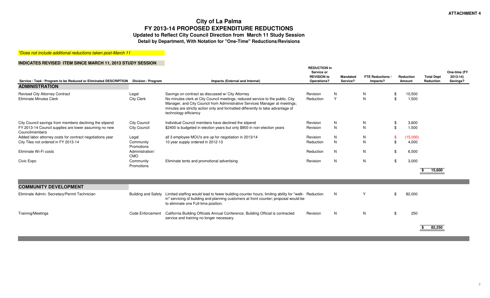\*Does not include additional reductions taken post-March 11

| Service / Task / Program to be Reduced or Eliminated DESCRIPTION                                                                   | Division / Program                         | Impacts (External and Internal)                                                                                                                                                                                                                                                                                                | <b>REDUCTION in</b><br>Service or<br><b>REVISION to</b><br>Operations? | <b>Mandated</b><br>Service? | <b>FTE Reductions</b><br>Impacts? | Reduction<br>Amount  |                   | <b>Total Dept</b><br>Reduction | One-time (FY<br>$2013 - 14$<br>Savings? |
|------------------------------------------------------------------------------------------------------------------------------------|--------------------------------------------|--------------------------------------------------------------------------------------------------------------------------------------------------------------------------------------------------------------------------------------------------------------------------------------------------------------------------------|------------------------------------------------------------------------|-----------------------------|-----------------------------------|----------------------|-------------------|--------------------------------|-----------------------------------------|
| <b>ADMINISTRATION</b>                                                                                                              |                                            |                                                                                                                                                                                                                                                                                                                                |                                                                        |                             |                                   |                      |                   |                                |                                         |
| <b>Revised City Attorney Contract</b><br><b>Eliminate Minutes Clerk</b>                                                            | Legal<br><b>City Clerk</b>                 | Savings on contract as discussed w/ City Attorney<br>No minutes clerk at City Council meetings; reduced service to the public, City<br>Manager, and City Council from Administrative Services Manager at meetings;<br>minutes are strictly action only and formatted differently to take advantage of<br>technology efficiency | Revision<br>Reduction                                                  | N<br>$\mathsf{Y}$           | N<br>N                            | -\$<br>\$            | 10,500<br>1,500   |                                |                                         |
| City Council savings from members declining the stipend<br>FY 2013-14 Council supplies are lower assuming no new<br>Councilmembers | <b>City Council</b><br><b>City Council</b> | Individual Council members have declined the stipend<br>\$2400 is budgeted in election years but only \$900 in non-election years                                                                                                                                                                                              | Revision<br>Revision                                                   | N<br>$\mathsf{N}$           | N<br>N                            | -\$<br>$\mathbf{\$}$ | 3,600<br>1,500    |                                |                                         |
| Added labor attorney costs for contract negotiations year<br>City Tiles not ordered in FY 2013-14                                  | Legal<br>Community<br>Promotions           | all 3 employee MOU's are up for negotiation in 2013/14<br>10 year supply ordered in 2012-13                                                                                                                                                                                                                                    | Revision<br>Reduction                                                  | N<br>N                      | N<br>N                            | $\mathbf{\$}$        | (15,000)<br>4,000 |                                |                                         |
| Eliminate Wi-Fi costs                                                                                                              | Administration/<br><b>CMO</b>              |                                                                                                                                                                                                                                                                                                                                | Reduction                                                              | N                           | N                                 | \$                   | 6,500             |                                |                                         |
| Civic Expo                                                                                                                         | Community<br>Promotions                    | Eliminate tents and promotional advertising                                                                                                                                                                                                                                                                                    | Revision                                                               | N                           | N                                 | \$                   | 3,000             | 15,600                         |                                         |
| <b>COMMUNITY DEVELOPMENT</b>                                                                                                       |                                            |                                                                                                                                                                                                                                                                                                                                |                                                                        |                             |                                   |                      |                   |                                |                                         |
| Eliminate Admin. Secretary/Permit Technician                                                                                       | <b>Building and Safety</b>                 | Limited staffing would lead to fewer building counter hours, limiting ability for "walk- Reduction"<br>in" servicing of building and planning customers at front counter; proposal would be<br>to eliminate one Full-time position.                                                                                            |                                                                        | N                           | Y                                 | \$                   | 82,000            |                                |                                         |
| Training/Meetings                                                                                                                  | Code Enforcement                           | California Building Officials Annual Conference. Building Official is contracted<br>service and training no longer necessary.                                                                                                                                                                                                  | Revision                                                               | N                           | N                                 | \$                   | 250               | 82,250                         |                                         |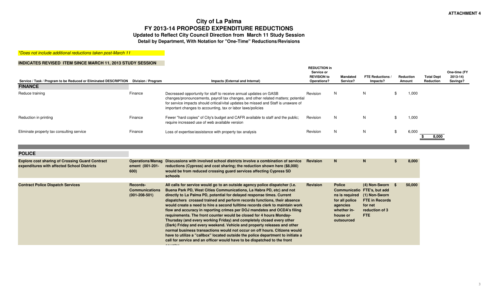\*Does not include additional reductions taken post-March 11

| Service / Task / Program to be Reduced or Eliminated DESCRIPTION Division / Program |         | Impacts (External and Internal)                                                                                                                                                                                                                                                                              | <b>REDUCTION in</b><br>Service or<br><b>REVISION to</b><br>Operations? | <b>Mandated</b><br>Service? | <b>FTE Reductions</b><br>Impacts? |    | <b>Reduction</b><br>Amount | <b>Total Dept</b><br>Reduction | One-time (FY<br>$2013 - 14$<br>Savings? |
|-------------------------------------------------------------------------------------|---------|--------------------------------------------------------------------------------------------------------------------------------------------------------------------------------------------------------------------------------------------------------------------------------------------------------------|------------------------------------------------------------------------|-----------------------------|-----------------------------------|----|----------------------------|--------------------------------|-----------------------------------------|
| <b>FINANCE</b>                                                                      |         |                                                                                                                                                                                                                                                                                                              |                                                                        |                             |                                   |    |                            |                                |                                         |
| Reduce training                                                                     | Finance | Decreased opportunity for staff to receive annual updates on GASB<br>changes/pronouncements, payroll tax changes, and other related matters; potential<br>for service impacts should critical/vital updates be missed and Staff is unaware of<br>important changes to accounting, tax or labor laws/policies | Revision                                                               | N                           | N.                                | æ  | 1,000                      |                                |                                         |
| Reduction in printing                                                               | Finance | Fewer "hard copies" of City's budget and CAFR available to staff and the public;<br>require increased use of web available version                                                                                                                                                                           | Revision                                                               | N                           | N.                                |    | 1,000                      |                                |                                         |
| Eliminate property tax consulting service                                           | Finance | Loss of expertise/assistance with property tax analysis                                                                                                                                                                                                                                                      | Revision                                                               | N                           | N                                 | -S | 6,000                      | 8,000                          |                                         |

| <b>POLICE</b>                                                                                         |                                                          |                                                                                                                                                                                                                                                                                                                                                                                                                                                                                                                                                                                                                                                                                                                                                                                                                                                                                                                                                           |                 |                                                                                      |                                                                                                                                                        |        |
|-------------------------------------------------------------------------------------------------------|----------------------------------------------------------|-----------------------------------------------------------------------------------------------------------------------------------------------------------------------------------------------------------------------------------------------------------------------------------------------------------------------------------------------------------------------------------------------------------------------------------------------------------------------------------------------------------------------------------------------------------------------------------------------------------------------------------------------------------------------------------------------------------------------------------------------------------------------------------------------------------------------------------------------------------------------------------------------------------------------------------------------------------|-----------------|--------------------------------------------------------------------------------------|--------------------------------------------------------------------------------------------------------------------------------------------------------|--------|
| <b>Explore cost sharing of Crossing Guard Contract</b><br>expenditures with affected School Districts | <b>Operations/Manag</b><br>ement (001-201-<br>600)       | Discussions with involved school districts involve a combination of service<br>reductions (Cypress) and cost sharing; the reduction shown here (\$8,000)<br>would be from reduced crossing guard services affecting Cypress SD<br>schools                                                                                                                                                                                                                                                                                                                                                                                                                                                                                                                                                                                                                                                                                                                 | Revision        | N.                                                                                   | N                                                                                                                                                      | 8,000  |
| <b>Contract Police Dispatch Services</b>                                                              | Records-<br><b>Communications</b><br>$(001 - 208 - 501)$ | All calls for service would go to an outside agency police dispatcher (i.e.<br>Buena Park PD, West Cities Communications, La Habra PD, etc) and not<br>directly to La Palma PD, potential for delayed response times. Current<br>dispatchers crossed trained and perform records functions, their absence<br>would create a need to hire a second fulltime records clerk to maintain work<br>flow and accuracy in reporting crimes per DOJ mandates and OCDA's filing<br>requirements. The front counter would be closed for 4 hours Monday-<br>Thursday (and every working Friday) and completely closed every other<br>(Dark) Friday and every weekend. Vehicle and property releases and other<br>normal business transactions would not occur on off hours. Citizens would<br>have to utilize a "callbox" located outside the police department to initiate a<br>call for service and an officer would have to be dispatched to the front<br>-------- | <b>Revision</b> | <b>Police</b><br>for all police<br>agencies<br>whether in-<br>house or<br>outsourced | $(4)$ Non-Sworn $$$<br>Communicatio FTE's, but add<br>ns is required (1) Non-Sworn<br><b>FTE in Records</b><br>for net<br>reduction of 3<br><b>FTE</b> | 50,000 |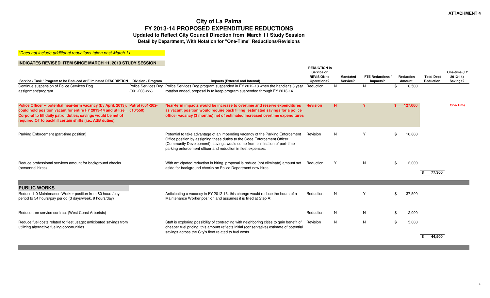## **City of La Palma FY 2013-14 PROPOSED EXPENDITURE REDUCTIONSUpdated to Reflect City Council Direction from March 11 Study Session**

**Detail by Department, With Notation for "One-Time" Reductions/Revisions**

\*Does not include additional reductions taken post-March 11

| Service / Task / Program to be Reduced or Eliminated DESCRIPTION Division / Program                                                                                                                                                                                                     |                     | Impacts (External and Internal)                                                                                                                                                                                                                                                                          | <b>REDUCTION in</b><br>Service or<br><b>REVISION to</b><br>Operations? |              | <b>Mandated</b><br>Service? | <b>FTE Reductions</b><br>Impacts? |     | <b>Reduction</b><br>Amount | <b>Total Dept</b><br>Reduction | One-time (FY<br>$2013 - 14$<br>Savings? |
|-----------------------------------------------------------------------------------------------------------------------------------------------------------------------------------------------------------------------------------------------------------------------------------------|---------------------|----------------------------------------------------------------------------------------------------------------------------------------------------------------------------------------------------------------------------------------------------------------------------------------------------------|------------------------------------------------------------------------|--------------|-----------------------------|-----------------------------------|-----|----------------------------|--------------------------------|-----------------------------------------|
| Continue suspension of Police Services Dog<br>assignment/program                                                                                                                                                                                                                        | $(001 - 203 - XXX)$ | Police Services Dog Police Services Dog program suspended in FY 2012-13 when the handler's 3 year<br>rotation ended, proposal is to keep program suspended through FY 2013-14                                                                                                                            | Reduction                                                              | N            |                             | N.                                | \$  | 6,500                      |                                |                                         |
| Police Officer -- potential near-term vacancy (by April, 2013); Patrol (001-202-<br>could hold position vacant for entire FY 2013-14 and utilize 510/550)<br>Corporal to fill daily patrol duties; savings would be net of<br>required OT to backfill certain shifts (i.e., ASB duties) |                     | Near-term impacts would be increase to overtime and reserve expenditures<br>as vacant position would require back filling; estimated savings for a police-<br>officer vacancy (3 months) net of estimated increased overtime expenditures                                                                | <b>Revision</b>                                                        | $\mathbf{M}$ |                             | ¥                                 |     | 127,000                    |                                | One-Time                                |
| Parking Enforcement (part-time position)                                                                                                                                                                                                                                                |                     | Potential to take advantage of an impending vacancy of the Parking Enforcement<br>Office position by assigning these duties to the Code Enforcement Officer<br>(Community Development); savings would come from elimination of part-time<br>parking enforcement officer and reduction in fleet expenses. | Revision                                                               | N            |                             | Y                                 |     | 10,800                     |                                |                                         |
| Reduce professional services amount for background checks<br>(personnel hires)                                                                                                                                                                                                          |                     | With anticipated reduction in hiring, proposal is reduce (not eliminate) amount set<br>aside for background checks on Police Department new hires                                                                                                                                                        | Reduction                                                              |              |                             | N.                                | \$  | 2,000                      | 77,300                         |                                         |
|                                                                                                                                                                                                                                                                                         |                     |                                                                                                                                                                                                                                                                                                          |                                                                        |              |                             |                                   |     |                            |                                |                                         |
| <b>PUBLIC WORKS</b><br>Reduce 1.0 Maintenance Worker position from 80 hours/pay<br>period to 54 hours/pay period (3 days/week, 9 hours/day)                                                                                                                                             |                     | Anticipating a vacancy in FY 2012-13, this change would reduce the hours of a<br>Maintenance Worker position and assumes it is filled at Step A;                                                                                                                                                         | Reduction                                                              | N            |                             | Y                                 | \$. | 37,500                     |                                |                                         |
| Reduce tree service contract (West Coast Arborists)                                                                                                                                                                                                                                     |                     |                                                                                                                                                                                                                                                                                                          | Reduction                                                              | N            |                             | N.                                | \$  | 2,000                      |                                |                                         |
| Reduce fuel costs related to fleet usage; anticipated savings from<br>utilizing alternative fueling opportunities                                                                                                                                                                       |                     | Staff is exploring possibility of contracting with neighboring cities to gain benefit of<br>cheaper fuel pricing; this amount reflects initial (conservative) estimate of potential<br>savings across the City's fleet related to fuel costs.                                                            | Revision                                                               | N            |                             | N                                 | \$  | 5,000                      | 44,500                         |                                         |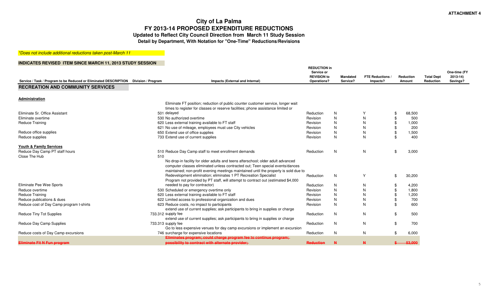\*Does not include additional reductions taken post-March 11

| Service / Task / Program to be Reduced or Eliminated DESCRIPTION | Division / Program<br>Impacts (External and Internal)                                                                                                                                                                                                            | <b>REDUCTION in</b><br>Service or<br><b>REVISION to</b><br>Operations? | <b>Mandated</b><br>Service? | <b>FTE Reductions</b><br>Impacts? | Reduction<br>Amount | <b>Total Dept</b><br><b>Reduction</b> | One-time (FY<br>$2013 - 14$<br>Savings? |
|------------------------------------------------------------------|------------------------------------------------------------------------------------------------------------------------------------------------------------------------------------------------------------------------------------------------------------------|------------------------------------------------------------------------|-----------------------------|-----------------------------------|---------------------|---------------------------------------|-----------------------------------------|
| <b>RECREATION AND COMMUNITY SERVICES</b>                         |                                                                                                                                                                                                                                                                  |                                                                        |                             |                                   |                     |                                       |                                         |
| Administration                                                   |                                                                                                                                                                                                                                                                  |                                                                        |                             |                                   |                     |                                       |                                         |
|                                                                  | Eliminate FT position; reduction of public counter customer service, longer wait<br>times to register for classes or reserve facilities; phone assistance limited or                                                                                             |                                                                        |                             |                                   |                     |                                       |                                         |
| Eliminate Sr. Office Assistant                                   | 501 delayed                                                                                                                                                                                                                                                      | Reduction                                                              | N                           |                                   | 68,500<br>\$        |                                       |                                         |
| Eliminate overtime                                               | 530 No authorized overtime                                                                                                                                                                                                                                       | Revision                                                               | N                           | N                                 | 500                 |                                       |                                         |
| Reduce Training                                                  | 620 Less external training available to FT staff                                                                                                                                                                                                                 | Revision                                                               | N                           |                                   | \$<br>1,000         |                                       |                                         |
|                                                                  | 621 No use of mileage, employees must use City vehicles                                                                                                                                                                                                          | Revision                                                               | N                           |                                   | 200                 |                                       |                                         |
| Reduce office supplies                                           | 650 Extend use of office supplies                                                                                                                                                                                                                                | Revision                                                               | N                           | N                                 | \$<br>1,500         |                                       |                                         |
| Reduce supplies                                                  | 733 Extend use of current supplies                                                                                                                                                                                                                               | Revision                                                               | N                           | N                                 | \$<br>400           |                                       |                                         |
| <b>Youth &amp; Family Services</b>                               |                                                                                                                                                                                                                                                                  |                                                                        |                             |                                   |                     |                                       |                                         |
| Reduce Day Camp PT staff hours                                   | 510 Reduce Day Camp staff to meet enrollment demands                                                                                                                                                                                                             | Reduction                                                              | N                           | N                                 | 3,000<br>\$         |                                       |                                         |
| Close The Hub                                                    | 510<br>No drop-in facility for older adults and teens afterschool; older adult advanced<br>computer classes eliminated unless contracted out; Teen special events/dances<br>maintained; non-profit evening meetings maintained until the property is sold due to |                                                                        |                             |                                   |                     |                                       |                                         |
|                                                                  | Redevelopment elimination; eliminates 1 PT Recreation Specialist<br>Program not provided by PT staff, will attempt to contract out (estimated \$4,000)                                                                                                           | Reduction                                                              | N                           | Y                                 | \$<br>30,200        |                                       |                                         |
| Eliminate Pee Wee Sports                                         | needed to pay for contractor)                                                                                                                                                                                                                                    | Reduction                                                              | N                           | N                                 | 4.200<br>\$         |                                       |                                         |
| Reduce overtime                                                  | 530 Scheduled or emergency overtime only                                                                                                                                                                                                                         | Revision                                                               | N                           | N                                 | \$<br>1,800         |                                       |                                         |
| Reduce Training                                                  | 620 Less external training available to FT staff                                                                                                                                                                                                                 | Revision                                                               | N                           |                                   | \$<br>1,200         |                                       |                                         |
| Reduce publications & dues                                       | 622 Limited access to professional organization and dues                                                                                                                                                                                                         | Revision                                                               | N                           |                                   | \$<br>700           |                                       |                                         |
| Reduce cost of Day Camp program t-shirts                         | 623 Reduce costs, no impact to participants<br>extend use of current supplies; ask participants to bring in supplies or charge                                                                                                                                   | Revision                                                               | N                           | N                                 | 600<br>\$.          |                                       |                                         |
| <b>Reduce Tiny Tot Supplies</b>                                  | 733.312 supply fee<br>extend use of current supplies; ask participants to bring in supplies or charge                                                                                                                                                            | Reduction                                                              | N                           | N                                 | 500<br>\$           |                                       |                                         |
| Reduce Day Camp Supplies                                         | 733.313 supply fee<br>Go to less expensive venues for day camp excursions or implement an excursion                                                                                                                                                              | Reduction                                                              | N                           | N                                 | 700<br>\$           |                                       |                                         |
| Reduce costs of Day Camp excursions                              | 746 surcharge for expensive locations                                                                                                                                                                                                                            | Reduction                                                              | N                           | N                                 | \$<br>6,000         |                                       |                                         |
|                                                                  | Eliminates program; could charge program fee to continue program;                                                                                                                                                                                                |                                                                        |                             |                                   |                     |                                       |                                         |
| <b>Eliminate Fit N Fun program</b>                               | possibility to contract with alternate provider;                                                                                                                                                                                                                 | <b>Reduction</b>                                                       | $\mathbf{M}$                | $\mathbf{N}$                      | $$-.53,000$         |                                       |                                         |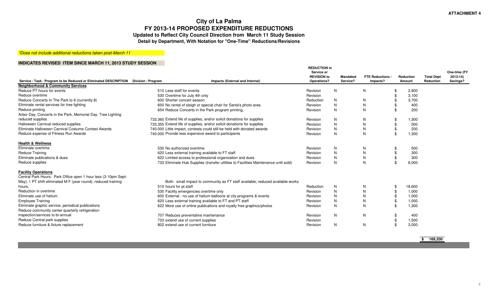### \*Does not include additional reductions taken post-March 11

| Service / Task / Program to be Reduced or Eliminated DESCRIPTION Division / Program |                                     | Impacts (External and Internal)                                                      | <b>REDUCTION in</b><br>Service or<br><b>REVISION to</b><br>Operations? | <b>Mandated</b><br>Service? |              | FTE Reductions<br>Impacts? | Reduction<br>Amount | <b>Total Dept</b><br>Reduction | One-time (FY<br>$2013 - 14$<br>Savings? |
|-------------------------------------------------------------------------------------|-------------------------------------|--------------------------------------------------------------------------------------|------------------------------------------------------------------------|-----------------------------|--------------|----------------------------|---------------------|--------------------------------|-----------------------------------------|
| <b>Neighborhood &amp; Community Services</b>                                        |                                     |                                                                                      |                                                                        |                             |              |                            |                     |                                |                                         |
| Reduce PT hours for events                                                          | 510 Less staff for events           |                                                                                      | Revision                                                               | N                           | N            |                            | 2,600               |                                |                                         |
| Reduce overtime                                                                     | 530 Overtime for July 4th only      |                                                                                      | Revision                                                               |                             |              | \$                         | 3,100               |                                |                                         |
| Reduce Concerts In The Park to 6 (currently 8)                                      | 600 Shorter concert season          |                                                                                      | Reduction                                                              | N                           | N            | -96                        | 3,700               |                                |                                         |
| Eliminate rental services for tree lighting                                         |                                     | 600 No rental of sleigh or special chair for Santa's photo area                      | Revision                                                               | N                           | N            |                            | 400                 |                                |                                         |
| Reduce printing                                                                     |                                     | 654 Reduce Concerts in the Park program printing,                                    | Revision                                                               | N                           | N            | $\mathfrak{L}$             | 200                 |                                |                                         |
| Arbor Day, Concerts in the Park, Memorial Day, Tree Lighting                        |                                     |                                                                                      |                                                                        |                             |              |                            |                     |                                |                                         |
| reduced supplies                                                                    |                                     | 733.360 Extend life of supplies, and/or solicit donations for supplies               | Revision                                                               | N                           | N            |                            | 1,300               |                                |                                         |
| Halloween Carnival reduced supplies                                                 |                                     | 733.355 Extend life of supplies, and/or solicit donations for supplies               | Revision                                                               | N                           | N            |                            | 500                 |                                |                                         |
| Eliminate Halloween Carnival Costume Contest Awards                                 |                                     | 740,000 Little impact, contests could still be held with donated awards              | Revision                                                               | N                           | N            | $\mathfrak{L}$             | 200                 |                                |                                         |
| Reduce expense of Fitness Run Awards                                                |                                     | 740.000 Provide less expensive award to participants                                 | Revision                                                               | N                           | N            | - \$                       | 1,300               |                                |                                         |
| <b>Health &amp; Wellness</b>                                                        |                                     |                                                                                      |                                                                        |                             |              |                            |                     |                                |                                         |
| Eliminate overtime                                                                  | 530 No authorized overtime          |                                                                                      | Revision                                                               | N                           | N            |                            | 500                 |                                |                                         |
| <b>Reduce Training</b>                                                              |                                     | 620 Less external training available to FT staff                                     | Revision                                                               | N                           | N            | -\$                        | 300                 |                                |                                         |
| Eliminate publications & dues                                                       |                                     | 622 Limited access to professional organization and dues                             | Revision                                                               | N                           | ${\sf N}$    |                            | 300                 |                                |                                         |
| Reduce supplies                                                                     |                                     | 733 Eliminate Hub Supplies (transfer utilities to Facilities Maintenance until sold) | Revision                                                               | N                           | N            | - \$                       | 6,000               |                                |                                         |
| <b>Facility Operations</b>                                                          |                                     |                                                                                      |                                                                        |                             |              |                            |                     |                                |                                         |
| Central Park Hours: Park Office open 1 hour less (3-10pm Sept-                      |                                     |                                                                                      |                                                                        |                             |              |                            |                     |                                |                                         |
| May), 1 PT shift eliminated M-F (year round), reduced training                      |                                     | Both: small impact to community as FT staff available; reduced available works       |                                                                        |                             |              |                            |                     |                                |                                         |
| hours.                                                                              | 510 hours for pt staff              |                                                                                      | Reduction                                                              | N                           | N            | - \$                       | 18,600              |                                |                                         |
| Reduction in overtime                                                               |                                     | 530 Facility emergencies overtime only                                               | Revision                                                               | N                           | $\mathsf{N}$ | - \$                       | 1,000               |                                |                                         |
| Eliminate use of helium                                                             |                                     | 600 External - no use of helium balloons at city programs & events                   | Revision                                                               | N                           | N            | $\mathcal{S}$              | 1,000               |                                |                                         |
| <b>Employee Training</b>                                                            |                                     | 620 Less external training available to FT and PT staff                              | Revision                                                               | N                           | N            | \$                         | 1,000               |                                |                                         |
| Eliminate graphic service, periodical publications                                  |                                     | 622 More use of online publications and royalty free graphics/photos                 | Revision                                                               | N                           | N            |                            | \$<br>1,300         |                                |                                         |
| Reduce community center quarterly refrigeration                                     |                                     |                                                                                      |                                                                        |                             |              |                            |                     |                                |                                         |
| inspection/services to bi-annual                                                    |                                     | 707 Reduces preventative maintenance                                                 | Revision                                                               | N                           | N            |                            | 400                 |                                |                                         |
| Reduce Central park supplies                                                        | 733 extend use of current supplies  |                                                                                      | Revision                                                               |                             |              |                            | 1,500               |                                |                                         |
| Reduce furniture & fixture replacement                                              | 802 extend use of current furniture |                                                                                      | Revision                                                               | N                           | N            | -\$                        | 3,000               |                                |                                         |
|                                                                                     |                                     |                                                                                      |                                                                        |                             |              |                            |                     |                                |                                         |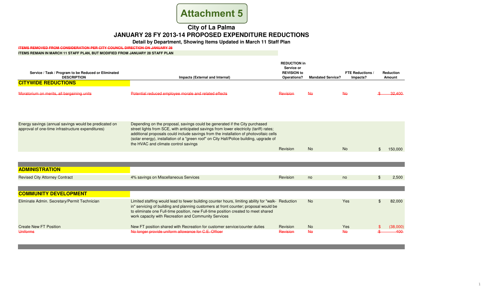# **Attachment 5**

# **City of La PalmaJANUARY 28 FY 2013-14 PROPOSED EXPENDITURE REDUCTIONS**

**Detail by Department, Showing Items Updated in March 11 Staff Plan**

**ITEMS REMOVED FROM CONSIDERATION PER CITY COUNCIL DIRECTION ON JANUARY 28**

#### **ITEMS REMAIN IN MARCH 11 STAFF PLAN, BUT MODIFIED FROM JANUARY 28 STAFF PLAN**

| Service / Task / Program to be Reduced or Eliminated<br><b>DESCRIPTION</b>                                 | Impacts (External and Internal)                                                                                                                                                                                                                                                                                                                                                                     | <b>REDUCTION in</b><br>Service or<br><b>REVISION to</b><br>Operations? | <b>Mandated Service?</b> | <b>FTE Reductions /</b><br>Impacts? | Reduction<br><b>Amount</b> |
|------------------------------------------------------------------------------------------------------------|-----------------------------------------------------------------------------------------------------------------------------------------------------------------------------------------------------------------------------------------------------------------------------------------------------------------------------------------------------------------------------------------------------|------------------------------------------------------------------------|--------------------------|-------------------------------------|----------------------------|
| <b>CITYWIDE REDUCTIONS</b>                                                                                 |                                                                                                                                                                                                                                                                                                                                                                                                     |                                                                        |                          |                                     |                            |
| Moratorium on merits, all bargaining units                                                                 | Potential reduced employee morale and related effects                                                                                                                                                                                                                                                                                                                                               | Revision                                                               | $A\Theta$                | $A\Theta$                           | 32,400                     |
|                                                                                                            |                                                                                                                                                                                                                                                                                                                                                                                                     |                                                                        |                          |                                     |                            |
| Energy savings (annual savings would be predicated on<br>approval of one-time infrastructure expenditures) | Depending on the proposal, savings could be generated if the City purchased<br>street lights from SCE, with anticipated savings from lower electricity (tariff) rates;<br>additional proposals could include savings from the installation of photovoltaic cells<br>(solar energy), installation of a "green roof" on City Hall/Police building, upgrade of<br>the HVAC and climate control savings | Revision                                                               | <b>No</b>                | N <sub>o</sub>                      | 150,000                    |
|                                                                                                            |                                                                                                                                                                                                                                                                                                                                                                                                     |                                                                        |                          |                                     |                            |
| <b>ADMINISTRATION</b>                                                                                      |                                                                                                                                                                                                                                                                                                                                                                                                     |                                                                        |                          |                                     |                            |
| <b>Revised City Attorney Contract</b>                                                                      | 4% savings on Miscellaneous Services                                                                                                                                                                                                                                                                                                                                                                | Revision                                                               | no                       | no                                  | 2.500                      |
| <b>COMMUNITY DEVELOPMENT</b>                                                                               |                                                                                                                                                                                                                                                                                                                                                                                                     |                                                                        |                          |                                     |                            |
| Eliminate Admin. Secretary/Permit Technician                                                               | Limited staffing would lead to fewer building counter hours, limiting ability for "walk- Reduction"<br>in" servicing of building and planning customers at front counter; proposal would be<br>to eliminate one Full-time position, new Full-time position created to meet shared<br>work capacity with Recreation and Community Services                                                           |                                                                        | <b>No</b>                | Yes                                 | 82,000                     |
| <b>Create New FT Position</b>                                                                              | New FT position shared with Recreation for customer service/counter duties                                                                                                                                                                                                                                                                                                                          | Revision                                                               | <b>No</b>                | <b>Yes</b>                          | (38,000)                   |
| Uniforms                                                                                                   | No longer provide uniform allowance for C.E. Officer                                                                                                                                                                                                                                                                                                                                                | Revision                                                               | $A\Theta$                | $A\Theta$                           | 400                        |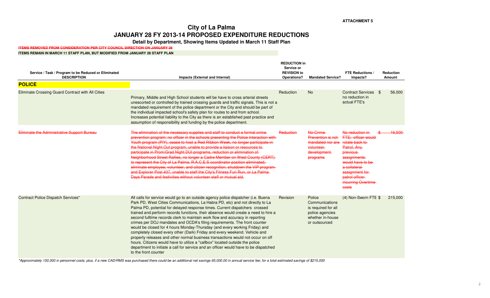# **City of La PalmaJANUARY 28 FY 2013-14 PROPOSED EXPENDITURE REDUCTIONS**

**Detail by Department, Showing Items Updated in March 11 Staff Plan**

### **ITEMS REMOVED FROM CONSIDERATION PER CITY COUNCIL DIRECTION ON JANUARY 28**

#### **ITEMS REMAIN IN MARCH 11 STAFF PLAN, BUT MODIFIED FROM JANUARY 28 STAFF PLAN**

| Service / Task / Program to be Reduced or Eliminated<br><b>DESCRIPTION</b> | Impacts (External and Internal)                                                                                                                                                                                                                                                                                                                                                                                                                                                                                                                                                                                                                                                                                                                                                                                                                                                                                                                      | <b>REDUCTION in</b><br>Service or<br><b>REVISION to</b><br>Operations? | <b>Mandated Service?</b>                                                                                | <b>FTE Reductions /</b><br>Impacts?                                                                                                                                                                              | <b>Reduction</b><br>Amount |
|----------------------------------------------------------------------------|------------------------------------------------------------------------------------------------------------------------------------------------------------------------------------------------------------------------------------------------------------------------------------------------------------------------------------------------------------------------------------------------------------------------------------------------------------------------------------------------------------------------------------------------------------------------------------------------------------------------------------------------------------------------------------------------------------------------------------------------------------------------------------------------------------------------------------------------------------------------------------------------------------------------------------------------------|------------------------------------------------------------------------|---------------------------------------------------------------------------------------------------------|------------------------------------------------------------------------------------------------------------------------------------------------------------------------------------------------------------------|----------------------------|
| <b>POLICE</b>                                                              |                                                                                                                                                                                                                                                                                                                                                                                                                                                                                                                                                                                                                                                                                                                                                                                                                                                                                                                                                      |                                                                        |                                                                                                         |                                                                                                                                                                                                                  |                            |
| Eliminate Crossing Guard Contract with All Cities                          | Primary, Middle and High School students will be have to cross arterial streets<br>unescorted or controlled by trained crossing guards and traffic signals. This is not a<br>mandated requirement of the police department or the City and should be part of<br>the individual impacted school's safety plan for routes to and from school.<br>Increases potential liability to the City as there is an established past practice and<br>assumption of responsibility and funding by the police department.                                                                                                                                                                                                                                                                                                                                                                                                                                          | Reduction                                                              | <b>No</b>                                                                                               | Contract Services \$<br>no reduction in<br>actual FTE's                                                                                                                                                          | 56,000                     |
| Eliminate the Administrative Support Bureau                                | The elimination of the necessary supplies and staff to conduct a formal crime-<br>prevention program: no officer in the schools presenting the Police Interaction with<br>Youth program (PIY), cease to host a Red Ribbon Week, no longer participate in-<br>the National Night Out program, unable to provide a liaison or resources to<br>participate in Prom/Grad Night DUI programs, reduction or elimination of<br>Neighborhood Street Rallies, no longer a Cadre Member on West County (CERT)<br>to represent the City of La Palma, R.A.C.E.S coordinator position eliminated,<br>eliminate employee, volunteer, and citizen recognition, shutdown the VIP program-<br>and Explorer Post 437, unable to staff the City's Fitness Fun Run, or La Palma-<br>Days Parade and festivities without volunteer staff or mutual aid.                                                                                                                   | Reduction                                                              | No-Crime<br>Prevention is not<br>mandated nor are<br>volunteer<br>development<br>programs               | No reduction in<br><b>FTE: officer would</b><br>rotate back to<br>Patrol. Any<br>previous-<br>assignments<br>would have to be<br>a collateral<br>assignment for<br>patrol officer<br>incurring Overtime<br>costs | 16.500                     |
| Contract Police Dispatch Services*                                         | All calls for service would go to an outside agency police dispatcher (i.e. Buena<br>Park PD, West Cities Communications, La Habra PD, etc) and not directly to La<br>Palma PD, potential for delayed response times. Current dispatchers crossed<br>trained and perform records functions, their absence would create a need to hire a<br>second fulltime records clerk to maintain work flow and accuracy in reporting<br>crimes per DOJ mandates and OCDA's filing requirements. The front counter<br>would be closed for 4 hours Monday-Thursday (and every working Friday) and<br>completely closed every other (Dark) Friday and every weekend. Vehicle and<br>property releases and other normal business transactions would not occur on off<br>hours. Citizens would have to utilize a "callbox" located outside the police<br>department to initiate a call for service and an officer would have to be dispatched<br>to the front counter | Revision                                                               | Police<br>Communications<br>is required for all<br>police agencies<br>whether in-house<br>or outsourced | (4) Non-Sworn FTE \$                                                                                                                                                                                             | 215,000                    |

\*Approximately 150,000 in personnel costs; plus, if a new CAD/RMS was purchased there could be an additional net savings 65,000.00 in annual service fee; for a total estimated savings of \$215,000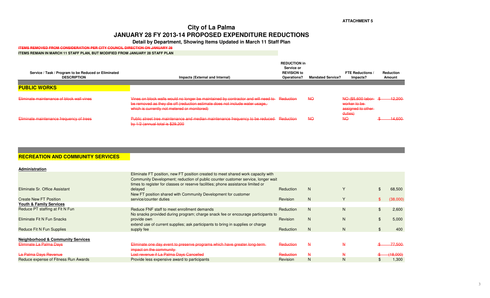# **City of La PalmaJANUARY 28 FY 2013-14 PROPOSED EXPENDITURE REDUCTIONS**

**Detail by Department, Showing Items Updated in March 11 Staff Plan**

### **ITEMS REMOVED FROM CONSIDERATION PER CITY COUNCIL DIRECTION ON JANUARY 28**

#### **ITEMS REMAIN IN MARCH 11 STAFF PLAN, BUT MODIFIED FROM JANUARY 28 STAFF PLAN**

| Service / Task / Program to be Reduced or Eliminated<br><b>DESCRIPTION</b> | Impacts (External and Internal)                                                                                                                                                                                             | <b>REDUCTION in</b><br>Service or<br><b>REVISION to</b><br>Operations? | <b>Mandated Service?</b> | <b>FTE Reductions /</b><br>Impacts?                                   | Reduction<br>Amount |
|----------------------------------------------------------------------------|-----------------------------------------------------------------------------------------------------------------------------------------------------------------------------------------------------------------------------|------------------------------------------------------------------------|--------------------------|-----------------------------------------------------------------------|---------------------|
| <b>PUBLIC WORKS</b>                                                        |                                                                                                                                                                                                                             |                                                                        |                          |                                                                       |                     |
|                                                                            |                                                                                                                                                                                                                             |                                                                        |                          |                                                                       |                     |
| Eliminate maintenance of block wall vines                                  | Vines on block walls would no longer be maintained by contractor and will need to Reduction<br>be removed as they die off (reduction estimate does not include water usage,<br>which is currently not metered or monitored) |                                                                        | <b>NO</b>                | NO (\$5,600 labor- \$<br>worker to be<br>assigned to other<br>duties) | $-12.200$           |
| Eliminate maintenance frequency of trees                                   | Public street tree maintenance and median maintenance frequency to be reduced Reduction<br>by $1/2$ (annual total is \$29,200                                                                                               |                                                                        | <b>NO</b>                | <b>NO</b>                                                             | 14.600              |

## **RECREATION AND COMMUNITY SERVICES**

| Administration                               |                                                                                                                                                                                                                                                                     |                  |              |   |          |
|----------------------------------------------|---------------------------------------------------------------------------------------------------------------------------------------------------------------------------------------------------------------------------------------------------------------------|------------------|--------------|---|----------|
| Eliminate Sr. Office Assistant               | Eliminate FT position, new FT position created to meet shared work capacity with<br>Community Development; reduction of public counter customer service, longer wait<br>times to register for classes or reserve facilities; phone assistance limited or<br>delayed | <b>Reduction</b> | N            |   | 68,500   |
| <b>Create New FT Position</b>                | New FT position shared with Community Development for customer<br>service/counter duties                                                                                                                                                                            | Revision         | N            |   | (38,000) |
| <b>Youth &amp; Family Services</b>           |                                                                                                                                                                                                                                                                     |                  |              |   |          |
| Reduce PT staffing at Fit N Fun              | Reduce FNF staff to meet enrollment demands<br>No snacks provided during program; charge snack fee or encourage participants to                                                                                                                                     | <b>Reduction</b> | N            | Ν | 2,600    |
| Eliminate Fit N Fun Snacks                   | provide own<br>extend use of current supplies; ask participants to bring in supplies or charge                                                                                                                                                                      | Revision         | N            | N | 5,000    |
| Reduce Fit N Fun Supplies                    | supply fee                                                                                                                                                                                                                                                          | <b>Reduction</b> | N            | N | 400      |
| <b>Neighborhood &amp; Community Services</b> |                                                                                                                                                                                                                                                                     |                  |              |   |          |
|                                              |                                                                                                                                                                                                                                                                     | Reduction        | $\mathsf{N}$ |   | 77.500   |
| Eliminate La Palma Days                      | Eliminate one day event to preserve programs which have greater long-term-<br>impact on the community                                                                                                                                                               |                  |              |   |          |
| La Palma Days Revenue                        | Lost revenue if La Palma Days Cancelled                                                                                                                                                                                                                             | Reduction        | $\mathsf{N}$ |   | (18,000) |
| Reduce expense of Fitness Run Awards         | Provide less expensive award to participants                                                                                                                                                                                                                        | Revision         | N            | N | 1.300    |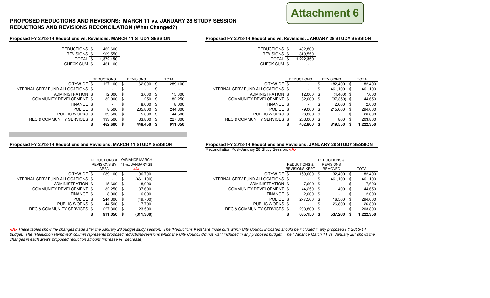

## **PROPOSED REDUCTIONS AND REVISIONS: MARCH 11 vs. JANUARY 28 STUDY SESSIONREDUCTIONS AND REVISIONS RECONCILATION (What Changed?)**

### **Proposed FY 2013-14 Reductions vs. Revisions: MARCH 11 STUDY SESSION**

### **Proposed FY 2013-14 Reductions vs. Revisions: JANUARY 28 STUDY SESSION**

| S \$ | 462.600   |
|------|-----------|
| S\$  | 909.550   |
| L\$  | 1,372,150 |
| И\$  | 461.100   |

| REDUCTIONS \$ | 462,600   |
|---------------|-----------|
|               |           |
| REVISIONS \$  | 909,550   |
| TOTAL \$      | 1,372,150 |
| CHECK SUM \$  | 461.100   |

| <b>REDUCTIONS</b> |         | <b>REVISIONS</b> |            | TOTAL |         |                                   | <b>REDUCTIONS</b> |           | <b>REVISIONS</b> |               | TOTAL |           |
|-------------------|---------|------------------|------------|-------|---------|-----------------------------------|-------------------|-----------|------------------|---------------|-------|-----------|
|                   | 127.100 |                  | 162,000 \$ |       | 289.100 | CITYWIDE \$                       |                   | <b>м.</b> |                  | 182.400       | - \$  | 182,400   |
|                   | ۰       |                  |            |       |         | INTERNAL SERV FUND ALLOCATIONS \$ |                   | ۰         |                  | 461.100       | - \$  | 461,100   |
|                   | 12,000  | -86              | $3,600$ \$ |       | 15.600  | ADMINISTRATION \$                 |                   | 12,000    |                  | $(4,400)$ \$  |       | 7,600     |
|                   | 82,000  | -86              | $250$ \$   |       | 82,250  | COMMUNITY DEVELOPMENT \$          |                   | 82,000    | -SS              | $(37,350)$ \$ |       | 44,650    |
|                   |         |                  | $8.000$ \$ |       | 8.000   | FINANCE \$                        |                   | ۰         |                  | $2.000$ \$    |       | 2,000     |
|                   | 8.500   | - \$             | 235,800 \$ |       | 244.300 | POLICE \$                         |                   | 79.000    | \$.              | 215.000       | - \$  | 294,000   |
|                   | 39,500  |                  | $5,000$ \$ |       | 44.500  | PUBLIC WORKS \$                   |                   | 26,800    |                  |               |       | 26,800    |
|                   | 193,500 |                  | 33,800 \$  |       | 227,300 | REC & COMMUNITY SERVICES \$       |                   | 203,000   |                  | 800           |       | 203,800   |
|                   | 462,600 |                  | 448,450 \$ |       | 911,050 |                                   |                   | 402.800   |                  | 819,550       |       | 1,222,350 |
|                   |         |                  |            |       |         |                                   |                   |           |                  |               |       |           |

|                                   | <b>REDUCTIONS</b> | <b>REVISIONS</b> |      | TOTAL   |                                     |
|-----------------------------------|-------------------|------------------|------|---------|-------------------------------------|
| CITYWIDE \$                       | 127.100 \$        | 162,000          | - \$ | 289.100 | <b>CITYWIDE</b>                     |
| INTERNAL SERV FUND ALLOCATIONS \$ |                   | ٠                |      |         | INTERNAL SERV FUND ALLOCATIONS      |
| ADMINISTRATION \$                 | $12.000$ \$       | 3,600            | - \$ | 15,600  | ADMINISTRATION                      |
| COMMUNITY DEVELOPMENT \$          | 82,000 \$         | 250              | - \$ | 82,250  | <b>COMMUNITY DEVELOPMENT</b>        |
| FINANCE \$                        |                   | 8.000            | - \$ | 8.000   | <b>FINANCE</b>                      |
| POLICE \$                         | $8.500$ \$        | 235,800          | - \$ | 244,300 | <b>POLICE</b>                       |
| PUBLIC WORKS \$                   | 39.500 \$         | 5.000            | - \$ | 44.500  | <b>PUBLIC WORKS</b>                 |
| REC & COMMUNITY SERVICES \$       | 193,500 \$        | 33,800           | \$.  | 227,300 | <b>REC &amp; COMMUNITY SERVICES</b> |
|                                   | 462.600           | 448.450          |      | 911.050 |                                     |

**Proposed FY 2013-14 Reductions and Revisions: MARCH 11 STUDY SESSION**

### **Proposed FY 2013-14 Reductions and Revisions: JANUARY 28 STUDY SESSION**

Reconciliation Post-January 28 Study Session: **<A>**

|                                   |                         |    |                       | Reconciliation Post-January 28 Study Session: <a></a> |                         |                          |                  |            |  |              |  |  |  |
|-----------------------------------|-------------------------|----|-----------------------|-------------------------------------------------------|-------------------------|--------------------------|------------------|------------|--|--------------|--|--|--|
|                                   | <b>REDUCTIONS &amp;</b> |    | <b>VARIANCE MARCH</b> |                                                       | <b>REDUCTIONS &amp;</b> |                          |                  |            |  |              |  |  |  |
| <b>REVISIONS BY</b>               |                         |    | 11 vs. JANUARY 28     |                                                       | <b>REDUCTIONS &amp;</b> |                          | <b>REVISIONS</b> |            |  |              |  |  |  |
|                                   | AREA                    |    | <a></a>               |                                                       |                         | <b>REVISIONS KEPT</b>    |                  | REMOVED    |  | <b>TOTAL</b> |  |  |  |
| CITYWIDE \$                       | 289,100 \$              |    | 106,700               | CITYWIDE \$                                           |                         | 150,000 \$               |                  | 32.400 \$  |  | 182,400      |  |  |  |
| INTERNAL SERV FUND ALLOCATIONS \$ |                         | æ. | (461, 100)            | INTERNAL SERV FUND ALLOCATIONS \$                     |                         | ۰                        | \$               | 461.100 \$ |  | 461,100      |  |  |  |
| ADMINISTRATION \$                 | 15.600 \$               |    | 8,000                 | ADMINISTRATION \$                                     |                         | 7,600 \$                 |                  | $\sim$     |  | 7,600        |  |  |  |
| COMMUNITY DEVELOPMENT \$          | 82.250 \$               |    | 37,600                | COMMUNITY DEVELOPMENT \$                              |                         | 44,250 \$                |                  | 400 \$     |  | 44,650       |  |  |  |
| FINANCE \$                        | $8.000$ \$              |    | 6,000                 | FINANCE \$                                            |                         | $2,000$ \$               |                  |            |  | 2,000        |  |  |  |
| POLICE \$                         | 244.300 \$              |    | (49,700)              | POLICE \$                                             |                         | 277.500 \$               |                  | 16.500 \$  |  | 294,000      |  |  |  |
| PUBLIC WORKS \$                   | 44.500 \$               |    | 17,700                | PUBLIC WORKS \$                                       |                         | $\overline{\phantom{a}}$ | \$               | 26,800 \$  |  | 26,800       |  |  |  |
| REC & COMMUNITY SERVICES \$       | 227,300 \$              |    | 23,500                | REC & COMMUNITY SERVICES \$                           |                         | 203.800 \$               |                  |            |  | 203,800      |  |  |  |
|                                   | 911,050 \$              |    | (311, 300)            |                                                       |                         | 685,150 \$               |                  | 537,200    |  | 222,350. ا   |  |  |  |
|                                   |                         |    |                       |                                                       |                         |                          |                  |            |  |              |  |  |  |

**<A>** These tables show the changes made after the January 28 budget study session. The "Reductions Kept" are those cuts which City Council indicated should be included in any proposed FY 2013-14 budget. The "Reduction Removed" column represents proposed reductions/revisions which the City Council did not want included in any proposed budget. The "Variance March 11 vs. January 28" shows the changes in each area's proposed reduction amount (increase vs. decrease).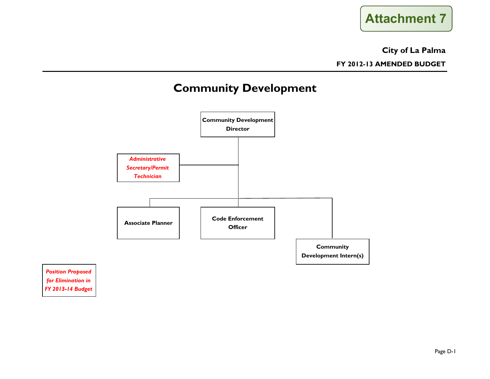

## **City of La Palma**

**FY 2012-13 AMENDED BUDGET**

# **Community Development**



*Position Proposed for Elimination in FY 2013-14 Budget*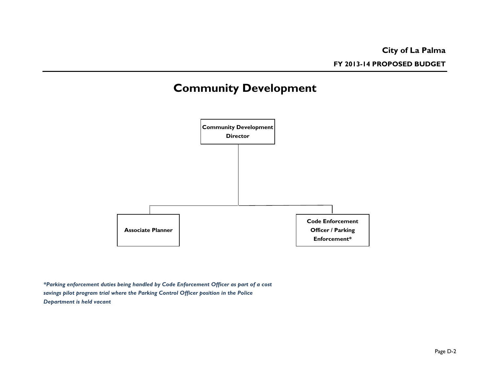**FY 2013-14 PROPOSED BUDGET**

# **Community Development**



*\*Parking enforcement duties being handled by Code Enforcement Officer as part of a cost savings pilot program trial where the Parking Control Officer position in the Police Department is held vacant*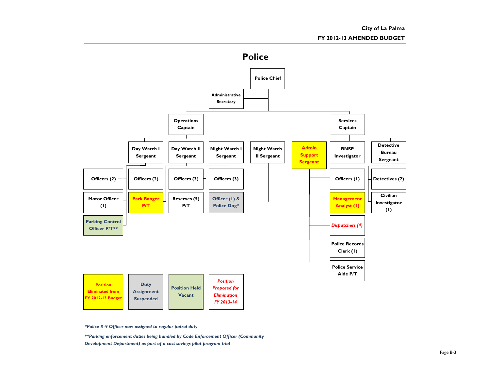

*\*Police K-9 Officer now assigned to regular patrol duty*

*\*\*Parking enforcement duties being handled by Code Enforcement Officer (Community Development Department) as part of a cost savings pilot program trial*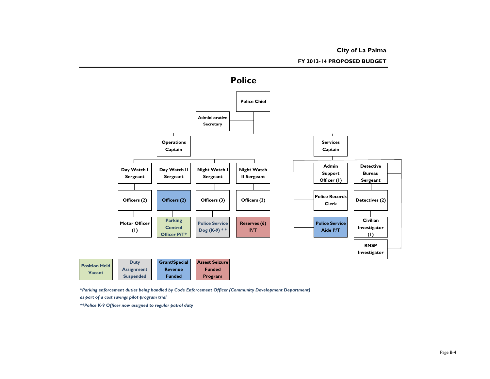**City of La Palma**

**FY 2013-14 PROPOSED BUDGET**



*\*Parking enforcement duties being handled by Code Enforcement Officer (Community Development Department) as part of a cost savings pilot program trial*

*\*\*Police K-9 Officer now assigned to regular patrol duty*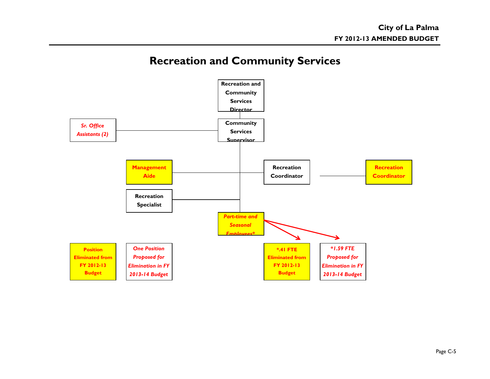# **Recreation and Community Services**

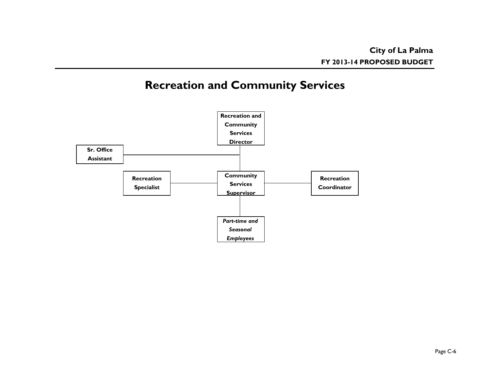# **Recreation and Community Services**

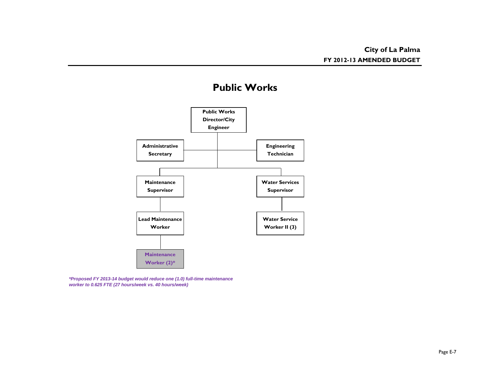# **Public Works**



*\*Proposed FY 2013-14 budget would reduce one (1.0) full-time maintenance worker to 0.625 FTE (27 hours/week vs. 40 hours/week)*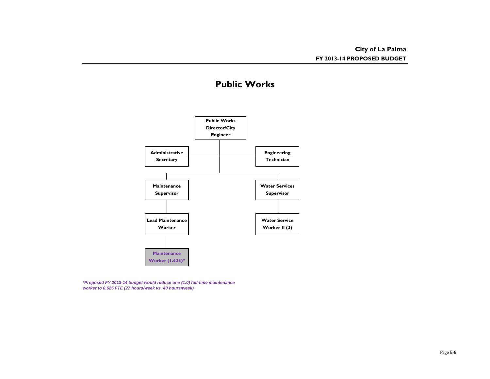# **Public Works**



*\*Proposed FY 2013-14 budget would reduce one (1.0) full-time maintenance worker to 0.625 FTE (27 hours/week vs. 40 hours/week)*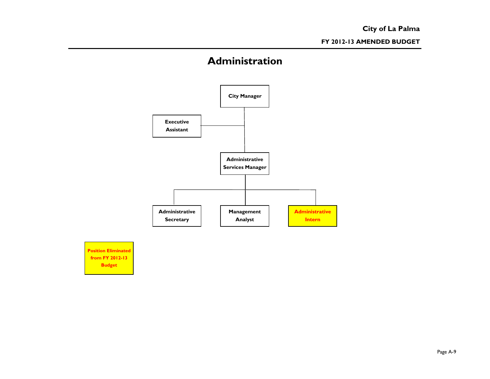# **Administration**



**Position Eliminated from FY 2012-13 Budget**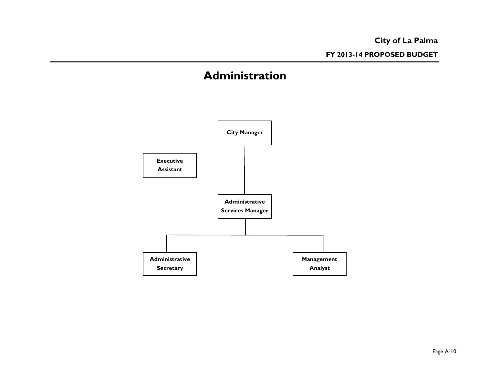# **Administration**

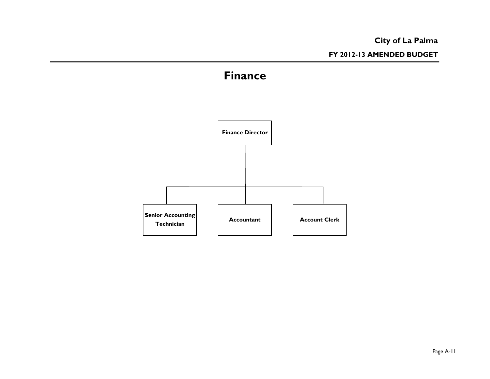# **City of La Palma FY 2012-13 AMENDED BUDGET**

# **Finance**